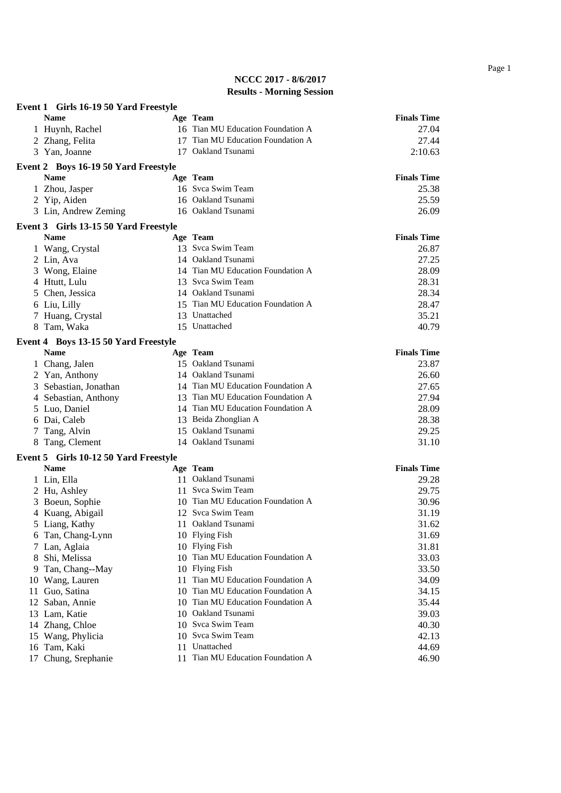|    | Event 1 Girls 16-19 50 Yard Freestyle |                                   |                    |
|----|---------------------------------------|-----------------------------------|--------------------|
|    | <b>Name</b>                           | Age Team                          | <b>Finals Time</b> |
|    | 1 Huynh, Rachel                       | 16 Tian MU Education Foundation A | 27.04              |
|    | 2 Zhang, Felita                       | 17 Tian MU Education Foundation A | 27.44              |
|    | 3 Yan, Joanne                         | 17 Oakland Tsunami                | 2:10.63            |
|    | Event 2 Boys 16-19 50 Yard Freestyle  |                                   |                    |
|    | <b>Name</b>                           | Age Team                          | <b>Finals Time</b> |
|    | 1 Zhou, Jasper                        | 16 Svca Swim Team                 | 25.38              |
|    | 2 Yip, Aiden                          | 16 Oakland Tsunami                | 25.59              |
|    | 3 Lin, Andrew Zeming                  | 16 Oakland Tsunami                | 26.09              |
|    | Event 3 Girls 13-15 50 Yard Freestyle |                                   |                    |
|    | <b>Name</b>                           | Age Team                          | <b>Finals Time</b> |
|    | 1 Wang, Crystal                       | 13 Svca Swim Team                 | 26.87              |
|    | 2 Lin, Ava                            | 14 Oakland Tsunami                | 27.25              |
|    | 3 Wong, Elaine                        | 14 Tian MU Education Foundation A | 28.09              |
|    | 4 Htutt, Lulu                         | 13 Svca Swim Team                 | 28.31              |
|    | 5 Chen, Jessica                       | 14 Oakland Tsunami                | 28.34              |
|    | 6 Liu, Lilly                          | 15 Tian MU Education Foundation A | 28.47              |
|    | 7 Huang, Crystal                      | 13 Unattached                     | 35.21              |
|    | 8 Tam, Waka                           | 15 Unattached                     | 40.79              |
|    | Event 4 Boys 13-15 50 Yard Freestyle  |                                   |                    |
|    | <b>Name</b>                           | Age Team                          | <b>Finals Time</b> |
|    | 1 Chang, Jalen                        | 15 Oakland Tsunami                | 23.87              |
|    | 2 Yan, Anthony                        | 14 Oakland Tsunami                | 26.60              |
|    | 3 Sebastian, Jonathan                 | 14 Tian MU Education Foundation A | 27.65              |
|    | 4 Sebastian, Anthony                  | 13 Tian MU Education Foundation A | 27.94              |
|    | 5 Luo, Daniel                         | 14 Tian MU Education Foundation A | 28.09              |
|    | 6 Dai, Caleb                          | 13 Beida Zhonglian A              | 28.38              |
|    | 7 Tang, Alvin                         | 15 Oakland Tsunami                | 29.25              |
|    | 8 Tang, Clement                       | 14 Oakland Tsunami                | 31.10              |
|    | Event 5 Girls 10-12 50 Yard Freestyle |                                   |                    |
|    | <b>Name</b>                           | Age Team                          | <b>Finals Time</b> |
|    | 1 Lin, Ella                           | 11 Oakland Tsunami                | 29.28              |
|    | 2 Hu, Ashley                          | 11 Svca Swim Team                 | 29.75              |
|    | 3 Boeun, Sophie                       | 10 Tian MU Education Foundation A | 30.96              |
|    | 4 Kuang, Abigail                      | 12 Svca Swim Team                 | 31.19              |
|    | 5 Liang, Kathy                        | 11 Oakland Tsunami                | 31.62              |
|    | 6 Tan, Chang-Lynn                     | 10 Flying Fish                    | 31.69              |
|    | 7 Lan, Aglaia                         | 10 Flying Fish                    | 31.81              |
|    | 8 Shi, Melissa                        | 10 Tian MU Education Foundation A | 33.03              |
|    | 9 Tan, Chang--May                     | 10 Flying Fish                    | 33.50              |
|    | 10 Wang, Lauren                       | 11 Tian MU Education Foundation A | 34.09              |
| 11 | Guo, Satina                           | 10 Tian MU Education Foundation A | 34.15              |
|    | 12 Saban, Annie                       | 10 Tian MU Education Foundation A | 35.44              |
|    | 13 Lam, Katie                         | 10 Oakland Tsunami                | 39.03              |
|    | 14 Zhang, Chloe                       | 10 Svca Swim Team                 | 40.30              |
|    | 15 Wang, Phylicia                     | 10 Svca Swim Team                 | 42.13              |
|    | 16 Tam, Kaki                          | 11 Unattached                     | 44.69              |
| 17 | Chung, Srephanie                      | 11 Tian MU Education Foundation A | 46.90              |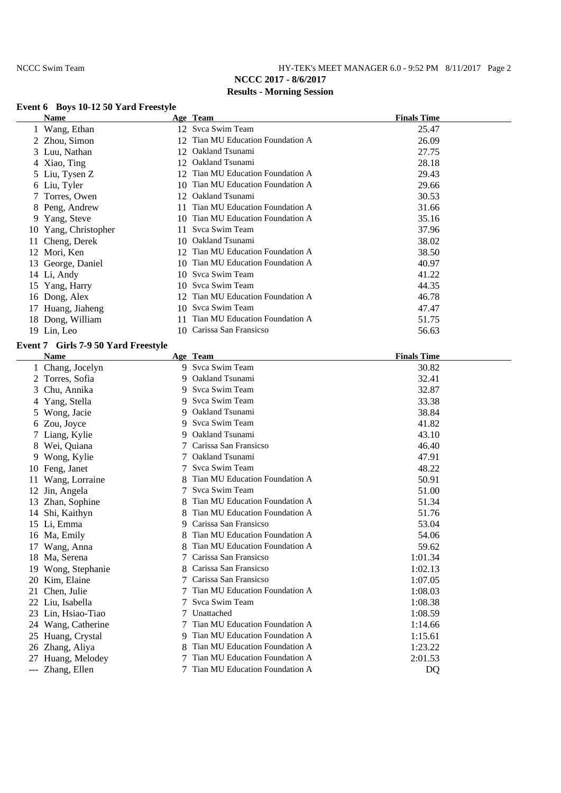## NCCC Swim Team HY-TEK's MEET MANAGER 6.0 - 9:52 PM 8/11/2017 Page 2 **NCCC 2017 - 8/6/2017 Results - Morning Session**

# **Event 6 Boys 10-12 50 Yard Freestyle**

|    | EVELUO BOYS IV-12 50 Y ard Preestyle |    |                                                        |                    |
|----|--------------------------------------|----|--------------------------------------------------------|--------------------|
|    | <b>Name</b>                          |    | Age Team<br>12 Svca Swim Team                          | <b>Finals Time</b> |
|    | 1 Wang, Ethan                        |    | 12 Tian MU Education Foundation A                      | 25.47              |
|    | 2 Zhou, Simon                        |    |                                                        | 26.09              |
|    | 3 Luu, Nathan                        |    | 12 Oakland Tsunami<br>12 Oakland Tsunami               | 27.75              |
|    | 4 Xiao, Ting                         |    | 12 Tian MU Education Foundation A                      | 28.18              |
|    | 5 Liu, Tysen Z                       |    | 10 Tian MU Education Foundation A                      | 29.43              |
|    | 6 Liu, Tyler                         |    | 12 Oakland Tsunami                                     | 29.66              |
|    | 7 Torres, Owen                       |    |                                                        | 30.53              |
|    | 8 Peng, Andrew                       |    | 11 Tian MU Education Foundation A                      | 31.66              |
|    | 9 Yang, Steve                        |    | 10 Tian MU Education Foundation A<br>11 Svca Swim Team | 35.16              |
|    | 10 Yang, Christopher                 |    |                                                        | 37.96              |
|    | 11 Cheng, Derek                      |    | 10 Oakland Tsunami                                     | 38.02              |
|    | 12 Mori, Ken                         |    | 12 Tian MU Education Foundation A                      | 38.50              |
|    | 13 George, Daniel                    |    | 10 Tian MU Education Foundation A                      | 40.97              |
|    | 14 Li, Andy                          |    | 10 Svca Swim Team                                      | 41.22              |
|    | 15 Yang, Harry                       |    | 10 Svca Swim Team                                      | 44.35              |
|    | 16 Dong, Alex                        |    | 12 Tian MU Education Foundation A                      | 46.78              |
|    | 17 Huang, Jiaheng                    |    | 10 Svca Swim Team                                      | 47.47              |
|    | 18 Dong, William                     |    | 11 Tian MU Education Foundation A                      | 51.75              |
|    | 19 Lin, Leo                          |    | 10 Carissa San Fransicso                               | 56.63              |
|    | Event 7 Girls 7-9 50 Yard Freestyle  |    |                                                        |                    |
|    | Name                                 |    | Age Team                                               | <b>Finals Time</b> |
|    | 1 Chang, Jocelyn                     |    | 9 Svca Swim Team                                       | 30.82              |
|    | 2 Torres, Sofia                      |    | 9 Oakland Tsunami                                      | 32.41              |
|    | 3 Chu, Annika                        |    | 9 Svca Swim Team                                       | 32.87              |
|    | 4 Yang, Stella                       |    | 9 Svca Swim Team                                       | 33.38              |
|    | 5 Wong, Jacie                        |    | 9 Oakland Tsunami                                      | 38.84              |
|    | 6 Zou, Joyce                         |    | 9 Svca Swim Team                                       | 41.82              |
|    | 7 Liang, Kylie                       |    | 9 Oakland Tsunami                                      | 43.10              |
|    | 8 Wei, Quiana                        |    | 7 Carissa San Fransicso                                | 46.40              |
|    | 9 Wong, Kylie                        |    | 7 Oakland Tsunami                                      | 47.91              |
|    | 10 Feng, Janet                       |    | 7 Svca Swim Team                                       | 48.22              |
|    | 11 Wang, Lorraine                    |    | 8 Tian MU Education Foundation A                       | 50.91              |
|    | 12 Jin, Angela                       |    | 7 Svca Swim Team                                       | 51.00              |
|    | 13 Zhan, Sophine                     |    | 8 Tian MU Education Foundation A                       | 51.34              |
|    | 14 Shi, Kaithyn                      |    | Tian MU Education Foundation A                         | 51.76              |
|    | 15 Li, Emma                          |    | 9 Carissa San Fransicso                                | 53.04              |
|    | 16 Ma, Emily                         |    | 8 Tian MU Education Foundation A                       | 54.06              |
|    | 17 Wang, Anna                        |    | Tian MU Education Foundation A                         | 59.62              |
|    | 18 Ma, Serena                        | 7  | Carissa San Fransicso                                  | 1:01.34            |
|    | 19 Wong, Stephanie                   | 8  | Carissa San Fransicso                                  | 1:02.13            |
| 20 | Kim, Elaine                          | 7  | Carissa San Fransicso                                  | 1:07.05            |
| 21 | Chen, Julie                          | 7  | Tian MU Education Foundation A                         | 1:08.03            |
|    | 22 Liu, Isabella                     | 7  | Svca Swim Team                                         | 1:08.38            |
|    | 23 Lin, Hsiao-Tiao                   | 7  | Unattached                                             | 1:08.59            |
|    | 24 Wang, Catherine                   | 7  | Tian MU Education Foundation A                         | 1:14.66            |
|    | 25 Huang, Crystal                    | 9. | Tian MU Education Foundation A                         | 1:15.61            |
|    | 26 Zhang, Aliya                      | 8  | Tian MU Education Foundation A                         | 1:23.22            |
|    | 27 Huang, Melodey                    | 7  | Tian MU Education Foundation A                         | 2:01.53            |
|    | --- Zhang, Ellen                     | 7  | Tian MU Education Foundation A                         | DQ                 |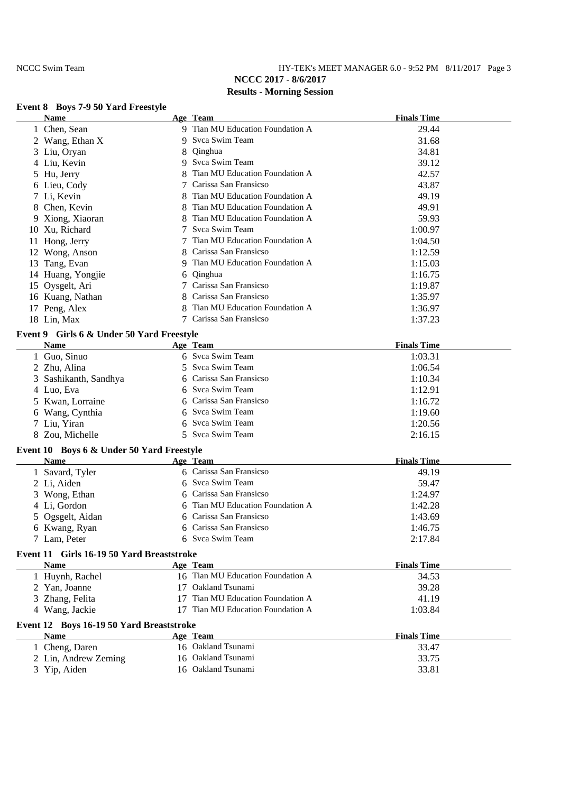## NCCC Swim Team HY-TEK's MEET MANAGER 6.0 - 9:52 PM 8/11/2017 Page 3 **NCCC 2017 - 8/6/2017 Results - Morning Session**

#### **Event 8 Boys 7-9 50 Yard Freestyle**

| <b>Name</b>                               |    | Age Team                          | <b>Finals Time</b> |
|-------------------------------------------|----|-----------------------------------|--------------------|
| 1 Chen, Sean                              |    | 9 Tian MU Education Foundation A  | 29.44              |
| 2 Wang, Ethan X                           |    | 9 Svca Swim Team                  | 31.68              |
| 3 Liu, Oryan                              |    | 8 Qinghua                         | 34.81              |
| 4 Liu, Kevin                              |    | 9 Svca Swim Team                  | 39.12              |
| 5 Hu, Jerry                               |    | Tian MU Education Foundation A    | 42.57              |
| 6 Lieu, Cody                              | 7  | Carissa San Fransicso             | 43.87              |
| 7 Li, Kevin                               |    | Tian MU Education Foundation A    | 49.19              |
| 8 Chen, Kevin                             |    | Tian MU Education Foundation A    | 49.91              |
| 9 Xiong, Xiaoran                          |    | Tian MU Education Foundation A    | 59.93              |
| 10 Xu, Richard                            |    | Syca Swim Team                    | 1:00.97            |
| 11 Hong, Jerry                            |    | Tian MU Education Foundation A    | 1:04.50            |
| 12 Wong, Anson                            |    | Carissa San Fransicso             | 1:12.59            |
| 13 Tang, Evan                             |    | 9 Tian MU Education Foundation A  | 1:15.03            |
| 14 Huang, Yongjie                         | 6  | Qinghua                           | 1:16.75            |
| 15 Oysgelt, Ari                           |    | Carissa San Fransicso             | 1:19.87            |
| 16 Kuang, Nathan                          | 8  | Carissa San Fransicso             | 1:35.97            |
| 17 Peng, Alex                             |    | Tian MU Education Foundation A    | 1:36.97            |
| 18 Lin, Max                               |    | Carissa San Fransicso             | 1:37.23            |
| Event 9 Girls 6 & Under 50 Yard Freestyle |    |                                   |                    |
| <b>Name</b>                               |    | Age Team                          | <b>Finals Time</b> |
| 1 Guo, Sinuo                              |    | 6 Svca Swim Team                  | 1:03.31            |
| 2 Zhu, Alina                              | 5. | Svca Swim Team                    | 1:06.54            |
| 3 Sashikanth, Sandhya                     |    | 6 Carissa San Fransicso           | 1:10.34            |
| 4 Luo, Eva                                |    | 6 Syca Swim Team                  | 1:12.91            |
| 5 Kwan, Lorraine                          |    | 6 Carissa San Fransicso           | 1:16.72            |
| 6 Wang, Cynthia                           |    | 6 Svca Swim Team                  | 1:19.60            |
| 7 Liu, Yiran                              |    | 6 Svca Swim Team                  | 1:20.56            |
| 8 Zou, Michelle                           |    | 5 Svca Swim Team                  | 2:16.15            |
|                                           |    |                                   |                    |
| Event 10 Boys 6 & Under 50 Yard Freestyle |    |                                   |                    |
| <b>Name</b>                               |    | Age Team                          | <b>Finals Time</b> |
| 1 Savard, Tyler                           |    | 6 Carissa San Fransicso           | 49.19              |
| 2 Li, Aiden                               |    | 6 Svca Swim Team                  | 59.47              |
| 3 Wong, Ethan                             |    | 6 Carissa San Fransicso           | 1:24.97            |
| 4 Li, Gordon                              |    | 6 Tian MU Education Foundation A  | 1:42.28            |
| 5 Ogsgelt, Aidan                          |    | Carissa San Fransicso             | 1:43.69            |
| 6 Kwang, Ryan                             |    | 6 Carissa San Fransicso           | 1:46.75            |
| 7 Lam, Peter                              |    | 6 Svca Swim Team                  | 2:17.84            |
| Event 11 Girls 16-19 50 Yard Breaststroke |    |                                   |                    |
| <b>Name</b>                               |    | Age Team                          | <b>Finals Time</b> |
| 1 Huynh, Rachel                           |    | 16 Tian MU Education Foundation A | 34.53              |
| 2 Yan, Joanne                             |    | 17 Oakland Tsunami                | 39.28              |
| 3 Zhang, Felita                           | 17 | Tian MU Education Foundation A    | 41.19              |
| 4 Wang, Jackie                            |    | 17 Tian MU Education Foundation A | 1:03.84            |
| Event 12 Boys 16-19 50 Yard Breaststroke  |    |                                   |                    |
| <b>Name</b>                               |    | <b>Age Team</b>                   | <b>Finals Time</b> |
| 1 Cheng, Daren                            |    | 16 Oakland Tsunami                | 33.47              |
|                                           |    | 16 Oakland Tsunami                | 33.75              |
| 2 Lin, Andrew Zeming<br>3 Yip, Aiden      |    | 16 Oakland Tsunami                | 33.81              |
|                                           |    |                                   |                    |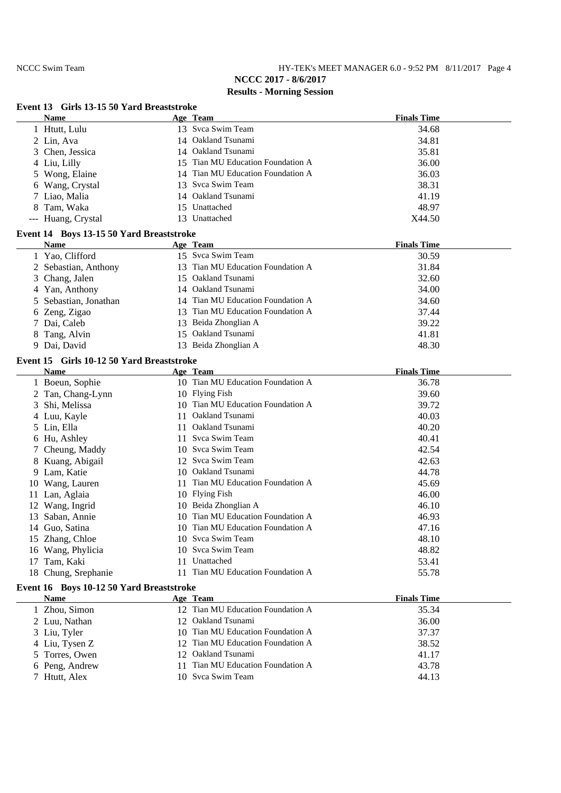## NCCC Swim Team HY-TEK's MEET MANAGER 6.0 - 9:52 PM 8/11/2017 Page 4 **NCCC 2017 - 8/6/2017**

# **Results - Morning Session**

## **Event 13 Girls 13-15 50 Yard Breaststroke**

|   | <b>Name</b>                               |     | Age Team                          | <b>Finals Time</b> |
|---|-------------------------------------------|-----|-----------------------------------|--------------------|
|   | 1 Htutt, Lulu                             |     | 13 Svca Swim Team                 | 34.68              |
|   | 2 Lin, Ava                                |     | 14 Oakland Tsunami                | 34.81              |
|   | 3 Chen, Jessica                           |     | 14 Oakland Tsunami                | 35.81              |
|   | 4 Liu, Lilly                              |     | 15 Tian MU Education Foundation A | 36.00              |
|   | 5 Wong, Elaine                            |     | 14 Tian MU Education Foundation A | 36.03              |
|   | 6 Wang, Crystal                           |     | 13 Svca Swim Team                 | 38.31              |
|   | 7 Liao, Malia                             |     | 14 Oakland Tsunami                | 41.19              |
| 8 | Tam, Waka                                 |     | 15 Unattached                     | 48.97              |
|   | --- Huang, Crystal                        |     | 13 Unattached                     | X44.50             |
|   | Event 14 Boys 13-15 50 Yard Breaststroke  |     |                                   |                    |
|   | <b>Name</b>                               |     | Age Team                          | <b>Finals Time</b> |
|   | 1 Yao, Clifford                           |     | 15 Svca Swim Team                 | 30.59              |
|   | 2 Sebastian, Anthony                      |     | 13 Tian MU Education Foundation A | 31.84              |
|   |                                           |     | 15 Oakland Tsunami                | 32.60              |
|   | 3 Chang, Jalen                            |     | 14 Oakland Tsunami                | 34.00              |
|   | 4 Yan, Anthony                            |     | 14 Tian MU Education Foundation A |                    |
|   | 5 Sebastian, Jonathan                     |     |                                   | 34.60              |
|   | 6 Zeng, Zigao                             |     | 13 Tian MU Education Foundation A | 37.44              |
|   | 7 Dai, Caleb                              |     | 13 Beida Zhonglian A              | 39.22              |
|   | 8 Tang, Alvin                             |     | 15 Oakland Tsunami                | 41.81              |
|   | 9 Dai, David                              |     | 13 Beida Zhonglian A              | 48.30              |
|   | Event 15 Girls 10-12 50 Yard Breaststroke |     |                                   |                    |
|   | Name                                      |     | Age Team                          | <b>Finals Time</b> |
|   | 1 Boeun, Sophie                           |     | 10 Tian MU Education Foundation A | 36.78              |
|   | 2 Tan, Chang-Lynn                         |     | 10 Flying Fish                    | 39.60              |
|   | 3 Shi, Melissa                            |     | 10 Tian MU Education Foundation A | 39.72              |
|   | 4 Luu, Kayle                              | 11  | Oakland Tsunami                   | 40.03              |
|   | 5 Lin, Ella                               |     | 11 Oakland Tsunami                | 40.20              |
|   | 6 Hu, Ashley                              |     | 11 Svca Swim Team                 | 40.41              |
|   | 7 Cheung, Maddy                           |     | 10 Svca Swim Team                 | 42.54              |
|   | 8 Kuang, Abigail                          |     | 12 Svca Swim Team                 | 42.63              |
|   | 9 Lam, Katie                              |     | 10 Oakland Tsunami                | 44.78              |
|   | 10 Wang, Lauren                           |     | 11 Tian MU Education Foundation A | 45.69              |
|   | 11 Lan, Aglaia                            |     | 10 Flying Fish                    | 46.00              |
|   | 12 Wang, Ingrid                           |     | 10 Beida Zhonglian A              | 46.10              |
|   | 13 Saban, Annie                           |     | 10 Tian MU Education Foundation A | 46.93              |
|   | 14 Guo, Satina                            |     | 10 Tian MU Education Foundation A | 47.16              |
|   | 15 Zhang, Chloe                           |     | 10 Svca Swim Team                 | 48.10              |
|   | 16 Wang, Phylicia                         |     | 10 Svca Swim Team                 | 48.82              |
|   | 17 Tam, Kaki                              | 11. | Unattached                        | 53.41              |
|   | 18 Chung, Srephanie                       |     | 11 Tian MU Education Foundation A | 55.78              |
|   |                                           |     |                                   |                    |
|   | Event 16 Boys 10-12 50 Yard Breaststroke  |     |                                   |                    |
|   | <b>Name</b>                               |     | Age Team                          | <b>Finals Time</b> |
|   | 1 Zhou, Simon                             |     | 12 Tian MU Education Foundation A | 35.34              |
|   | 2 Luu, Nathan                             |     | 12 Oakland Tsunami                | 36.00              |
|   | 3 Liu, Tyler                              |     | 10 Tian MU Education Foundation A | 37.37              |
|   | 4 Liu, Tysen Z                            |     | 12 Tian MU Education Foundation A | 38.52              |
|   | 5 Torres, Owen                            |     | 12 Oakland Tsunami                | 41.17              |

6 Peng, Andrew 11 Tian MU Education Foundation A 43.78 7 Htutt, Alex 10 Svca Swim Team 44.13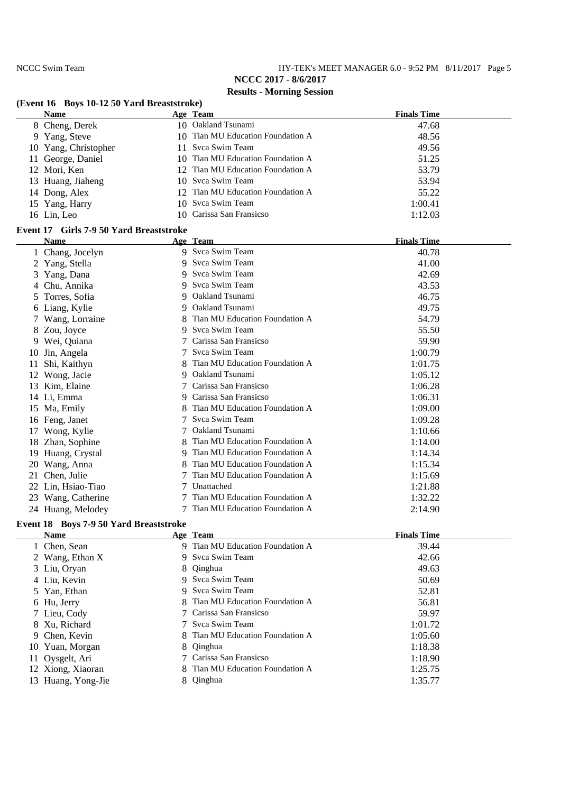## **NCCC 2017 - 8/6/2017 Results - Morning Session**

## **(Event 16 Boys 10-12 50 Yard Breaststroke)**

| <b>Name</b>          | Age Team                          | <b>Finals Time</b> |
|----------------------|-----------------------------------|--------------------|
| 8 Cheng, Derek       | 10 Oakland Tsunami                | 47.68              |
| 9 Yang, Steve        | 10 Tian MU Education Foundation A | 48.56              |
| 10 Yang, Christopher | 11 Syca Swim Team                 | 49.56              |
| 11 George, Daniel    | 10 Tian MU Education Foundation A | 51.25              |
| 12 Mori, Ken         | 12 Tian MU Education Foundation A | 53.79              |
| 13 Huang, Jiaheng    | 10 Svca Swim Team                 | 53.94              |
| 14 Dong, Alex        | 12 Tian MU Education Foundation A | 55.22              |
| 15 Yang, Harry       | 10 Svca Swim Team                 | 1:00.41            |
| 16 Lin, Leo          | 10 Carissa San Fransicso          | 1:12.03            |

## **Event 17 Girls 7-9 50 Yard Breaststroke**

|    | <b>Name</b>       |   | Age Team                       | <b>Finals Time</b> |
|----|-------------------|---|--------------------------------|--------------------|
|    | 1 Chang, Jocelyn  | 9 | Svca Swim Team                 | 40.78              |
|    | 2 Yang, Stella    | 9 | Svca Swim Team                 | 41.00              |
| 3  | Yang, Dana        | 9 | Syca Swim Team                 | 42.69              |
| 4  | Chu, Annika       | 9 | Svca Swim Team                 | 43.53              |
| 5. | Torres, Sofia     | 9 | Oakland Tsunami                | 46.75              |
| 6  | Liang, Kylie      | 9 | Oakland Tsunami                | 49.75              |
|    | Wang, Lorraine    | 8 | Tian MU Education Foundation A | 54.79              |
| 8  | Zou, Joyce        | 9 | Svca Swim Team                 | 55.50              |
| 9  | Wei, Quiana       | 7 | Carissa San Fransicso          | 59.90              |
| 10 | Jin, Angela       | 7 | Svca Swim Team                 | 1:00.79            |
| 11 | Shi, Kaithyn      |   | Tian MU Education Foundation A | 1:01.75            |
| 12 | Wong, Jacie       | 9 | Oakland Tsunami                | 1:05.12            |
| 13 | Kim, Elaine       | 7 | Carissa San Fransicso          | 1:06.28            |
|    | 14 Li, Emma       | 9 | Carissa San Fransicso          | 1:06.31            |
| 15 | Ma, Emily         |   | Tian MU Education Foundation A | 1:09.00            |
| 16 | Feng, Janet       |   | Syca Swim Team                 | 1:09.28            |
| 17 | Wong, Kylie       |   | Oakland Tsunami                | 1:10.66            |
| 18 | Zhan, Sophine     |   | Tian MU Education Foundation A | 1:14.00            |
| 19 | Huang, Crystal    | 9 | Tian MU Education Foundation A | 1:14.34            |
| 20 | Wang, Anna        | 8 | Tian MU Education Foundation A | 1:15.34            |
| 21 | Chen, Julie       |   | Tian MU Education Foundation A | 1:15.69            |
| 22 | Lin, Hsiao-Tiao   |   | Unattached                     | 1:21.88            |
| 23 | Wang, Catherine   |   | Tian MU Education Foundation A | 1:32.22            |
|    | 24 Huang, Melodey |   | Tian MU Education Foundation A | 2:14.90            |

## **Event 18 Boys 7-9 50 Yard Breaststroke**

| <b>Name</b>        | Age Team                         | <b>Finals Time</b> |
|--------------------|----------------------------------|--------------------|
| 1 Chen, Sean       | 9 Tian MU Education Foundation A | 39.44              |
| 2 Wang, Ethan X    | 9 Svca Swim Team                 | 42.66              |
| 3 Liu, Oryan       | 8 Qinghua                        | 49.63              |
| 4 Liu, Kevin       | 9 Svca Swim Team                 | 50.69              |
| 5 Yan, Ethan       | 9 Svca Swim Team                 | 52.81              |
| 6 Hu, Jerry        | 8 Tian MU Education Foundation A | 56.81              |
| 7 Lieu, Cody       | 7 Carissa San Fransicso          | 59.97              |
| 8 Xu, Richard      | 7 Svca Swim Team                 | 1:01.72            |
| 9 Chen, Kevin      | 8 Tian MU Education Foundation A | 1:05.60            |
| 10 Yuan, Morgan    | 8 Qinghua                        | 1:18.38            |
| 11 Oysgelt, Ari    | 7 Carissa San Fransicso          | 1:18.90            |
| 12 Xiong, Xiaoran  | 8 Tian MU Education Foundation A | 1:25.75            |
| 13 Huang, Yong-Jie | 8 Qinghua                        | 1:35.77            |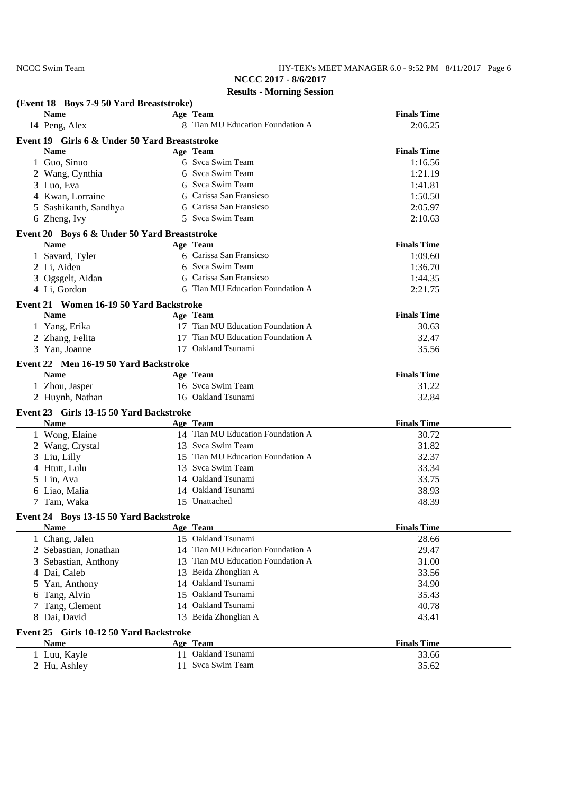## NCCC Swim Team HY-TEK's MEET MANAGER 6.0 - 9:52 PM 8/11/2017 Page 6 **NCCC 2017 - 8/6/2017 Results - Morning Session**

| (Event 18 Boys 7-9 50 Yard Breaststroke)      |                                   |                    |
|-----------------------------------------------|-----------------------------------|--------------------|
| <b>Name</b>                                   | Age Team                          | <b>Finals Time</b> |
| 14 Peng, Alex                                 | 8 Tian MU Education Foundation A  | 2:06.25            |
| Event 19 Girls 6 & Under 50 Yard Breaststroke |                                   |                    |
| <b>Name</b>                                   | Age Team                          | <b>Finals Time</b> |
| 1 Guo, Sinuo                                  | 6 Svca Swim Team                  | 1:16.56            |
| 2 Wang, Cynthia                               | 6 Svca Swim Team                  | 1:21.19            |
| 3 Luo, Eva                                    | 6 Svca Swim Team                  | 1:41.81            |
| 4 Kwan, Lorraine                              | 6 Carissa San Fransicso           | 1:50.50            |
| 5 Sashikanth, Sandhya                         | 6 Carissa San Fransicso           | 2:05.97            |
| 6 Zheng, Ivy                                  | 5 Svca Swim Team                  | 2:10.63            |
| Event 20 Boys 6 & Under 50 Yard Breaststroke  |                                   |                    |
| <b>Name</b>                                   | Age Team                          | <b>Finals Time</b> |
| 1 Savard, Tyler                               | 6 Carissa San Fransicso           | 1:09.60            |
| 2 Li, Aiden                                   | 6 Svca Swim Team                  | 1:36.70            |
| 3 Ogsgelt, Aidan                              | 6 Carissa San Fransicso           | 1:44.35            |
| 4 Li, Gordon                                  | 6 Tian MU Education Foundation A  | 2:21.75            |
| Event 21 Women 16-19 50 Yard Backstroke       |                                   |                    |
| <b>Name</b>                                   | Age Team                          | <b>Finals Time</b> |
| 1 Yang, Erika                                 | 17 Tian MU Education Foundation A | 30.63              |
| 2 Zhang, Felita                               | 17 Tian MU Education Foundation A | 32.47              |
| 3 Yan, Joanne                                 | 17 Oakland Tsunami                | 35.56              |
| Event 22 Men 16-19 50 Yard Backstroke         |                                   |                    |
| <b>Name</b>                                   | Age Team                          | <b>Finals Time</b> |
|                                               | 16 Svca Swim Team                 | 31.22              |
| 1 Zhou, Jasper<br>2 Huynh, Nathan             | 16 Oakland Tsunami                |                    |
|                                               |                                   | 32.84              |
| Event 23 Girls 13-15 50 Yard Backstroke       |                                   |                    |
| <b>Name</b>                                   | Age Team                          | <b>Finals Time</b> |
| 1 Wong, Elaine                                | 14 Tian MU Education Foundation A | 30.72              |
| 2 Wang, Crystal                               | 13 Svca Swim Team                 | 31.82              |
| 3 Liu, Lilly                                  | 15 Tian MU Education Foundation A | 32.37              |
| 4 Htutt, Lulu                                 | 13 Svca Swim Team                 | 33.34              |
| 5 Lin, Ava                                    | 14 Oakland Tsunami                | 33.75              |
| 6 Liao, Malia                                 | 14 Oakland Tsunami                | 38.93              |
| 7 Tam, Waka                                   | 15 Unattached                     | 48.39              |
| Event 24 Boys 13-15 50 Yard Backstroke        |                                   |                    |
| <b>Name</b>                                   | Age Team                          | <b>Finals Time</b> |
| 1 Chang, Jalen                                | 15 Oakland Tsunami                | 28.66              |
| 2 Sebastian, Jonathan                         | 14 Tian MU Education Foundation A | 29.47              |
| 3 Sebastian, Anthony                          | 13 Tian MU Education Foundation A | 31.00              |
| 4 Dai, Caleb                                  | 13 Beida Zhonglian A              | 33.56              |
| 5 Yan, Anthony                                | 14 Oakland Tsunami                | 34.90              |
| Tang, Alvin<br>6                              | 15 Oakland Tsunami                | 35.43              |
| 7 Tang, Clement                               | 14 Oakland Tsunami                | 40.78              |
| 8 Dai, David                                  | 13 Beida Zhonglian A              | 43.41              |
| Event 25 Girls 10-12 50 Yard Backstroke       |                                   |                    |
| <b>Name</b>                                   | Age Team                          | <b>Finals Time</b> |
| 1 Luu, Kayle                                  | 11 Oakland Tsunami                | 33.66              |
| 2 Hu, Ashley                                  | 11 Svca Swim Team                 | 35.62              |
|                                               |                                   |                    |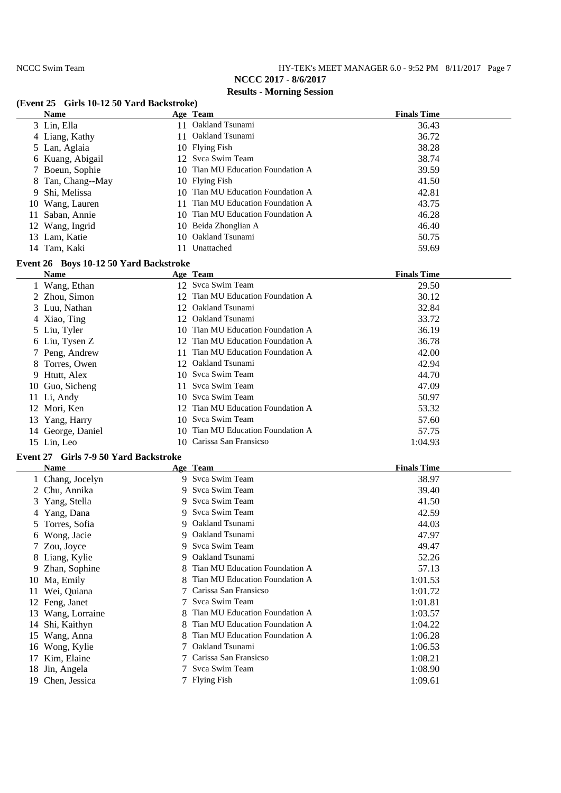## **NCCC 2017 - 8/6/2017 Results - Morning Session**

## **(Event 25 Girls 10-12 50 Yard Backstroke)**

| <b>Name</b>       | Age Team                          | <b>Finals Time</b> |
|-------------------|-----------------------------------|--------------------|
| 3 Lin, Ella       | 11 Oakland Tsunami                | 36.43              |
| 4 Liang, Kathy    | 11 Oakland Tsunami                | 36.72              |
| 5 Lan, Aglaia     | 10 Flying Fish                    | 38.28              |
| 6 Kuang, Abigail  | 12 Svca Swim Team                 | 38.74              |
| 7 Boeun, Sophie   | 10 Tian MU Education Foundation A | 39.59              |
| 8 Tan, Chang--May | 10 Flying Fish                    | 41.50              |
| 9 Shi, Melissa    | 10 Tian MU Education Foundation A | 42.81              |
| 10 Wang, Lauren   | 11 Tian MU Education Foundation A | 43.75              |
| 11 Saban, Annie   | 10 Tian MU Education Foundation A | 46.28              |
| 12 Wang, Ingrid   | 10 Beida Zhonglian A              | 46.40              |
| 13 Lam, Katie     | 10 Oakland Tsunami                | 50.75              |
| 14 Tam, Kaki      | 11 Unattached                     | 59.69              |

# **Event 26 Boys 10-12 50 Yard Backstroke**

| <b>Name</b>       | Age Team                          | <b>Finals Time</b> |  |
|-------------------|-----------------------------------|--------------------|--|
| 1 Wang, Ethan     | 12 Svca Swim Team                 | 29.50              |  |
| 2 Zhou, Simon     | 12 Tian MU Education Foundation A | 30.12              |  |
| 3 Luu, Nathan     | 12 Oakland Tsunami                | 32.84              |  |
| 4 Xiao, Ting      | 12 Oakland Tsunami                | 33.72              |  |
| 5 Liu, Tyler      | 10 Tian MU Education Foundation A | 36.19              |  |
| 6 Liu, Tysen Z    | 12 Tian MU Education Foundation A | 36.78              |  |
| 7 Peng, Andrew    | 11 Tian MU Education Foundation A | 42.00              |  |
| 8 Torres, Owen    | 12 Oakland Tsunami                | 42.94              |  |
| 9 Htutt, Alex     | 10 Svca Swim Team                 | 44.70              |  |
| 10 Guo, Sicheng   | 11 Syca Swim Team                 | 47.09              |  |
| 11 Li, Andy       | 10 Svca Swim Team                 | 50.97              |  |
| 12 Mori, Ken      | 12 Tian MU Education Foundation A | 53.32              |  |
| 13 Yang, Harry    | 10 Svca Swim Team                 | 57.60              |  |
| 14 George, Daniel | 10 Tian MU Education Foundation A | 57.75              |  |
| 15 Lin, Leo       | 10 Carissa San Fransicso          | 1:04.93            |  |

# **Event 27 Girls 7-9 50 Yard Backstroke**

|    | <b>Name</b>      | Age Team                         | <b>Finals Time</b> |
|----|------------------|----------------------------------|--------------------|
|    | 1 Chang, Jocelyn | 9 Svca Swim Team                 | 38.97              |
|    | 2 Chu, Annika    | 9 Svca Swim Team                 | 39.40              |
|    | 3 Yang, Stella   | 9 Svca Swim Team                 | 41.50              |
| 4  | Yang, Dana       | 9 Svca Swim Team                 | 42.59              |
|    | Torres, Sofia    | 9 Oakland Tsunami                | 44.03              |
| 6  | Wong, Jacie      | 9 Oakland Tsunami                | 47.97              |
|    | 7 Zou, Joyce     | 9 Svca Swim Team                 | 49.47              |
|    | 8 Liang, Kylie   | 9 Oakland Tsunami                | 52.26              |
|    | 9 Zhan, Sophine  | 8 Tian MU Education Foundation A | 57.13              |
|    | 10 Ma, Emily     | 8 Tian MU Education Foundation A | 1:01.53            |
| 11 | Wei, Quiana      | Carissa San Fransicso            | 1:01.72            |
| 12 | Feng, Janet      | 7 Svca Swim Team                 | 1:01.81            |
| 13 | Wang, Lorraine   | Tian MU Education Foundation A   | 1:03.57            |
| 14 | Shi, Kaithyn     | Tian MU Education Foundation A   | 1:04.22            |
| 15 | Wang, Anna       | Tian MU Education Foundation A   | 1:06.28            |
| 16 | Wong, Kylie      | Oakland Tsunami                  | 1:06.53            |
| 17 | Kim, Elaine      | 7 Carissa San Fransicso          | 1:08.21            |
| 18 | Jin, Angela      | 7 Svca Swim Team                 | 1:08.90            |
|    | 19 Chen, Jessica | 7 Flying Fish                    | 1:09.61            |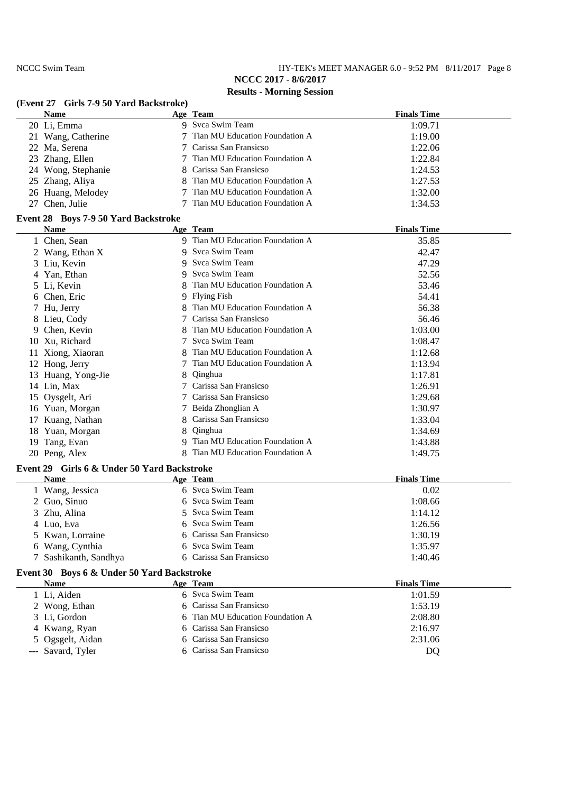# NCCC Swim Team HY-TEK's MEET MANAGER 6.0 - 9:52 PM 8/11/2017 Page 8 **NCCC 2017 - 8/6/2017**

# **Results - Morning Session**

## **(Event 27 Girls 7-9 50 Yard Backstroke)**

| <b>Name</b>        | Age Team                         | <b>Finals Time</b> |
|--------------------|----------------------------------|--------------------|
| 20 Li, Emma        | 9 Svca Swim Team                 | 1:09.71            |
| 21 Wang, Catherine | 7 Tian MU Education Foundation A | 1:19.00            |
| 22 Ma, Serena      | 7 Carissa San Fransicso          | 1:22.06            |
| 23 Zhang, Ellen    | 7 Tian MU Education Foundation A | 1:22.84            |
| 24 Wong, Stephanie | 8 Carissa San Fransicso          | 1:24.53            |
| 25 Zhang, Aliya    | 8 Tian MU Education Foundation A | 1:27.53            |
| 26 Huang, Melodey  | 7 Tian MU Education Foundation A | 1:32.00            |
| 27 Chen, Julie     | 7 Tian MU Education Foundation A | 1:34.53            |

## **Event 28 Boys 7-9 50 Yard Backstroke**

|    | <b>Name</b>     |    | Age Team                         | <b>Finals Time</b> |
|----|-----------------|----|----------------------------------|--------------------|
|    | 1 Chen, Sean    |    | 9 Tian MU Education Foundation A | 35.85              |
|    | 2 Wang, Ethan X |    | 9 Svca Swim Team                 | 42.47              |
|    | 3 Liu, Kevin    |    | 9 Svca Swim Team                 | 47.29              |
|    | 4 Yan, Ethan    |    | 9 Svca Swim Team                 | 52.56              |
|    | 5 Li, Kevin     | 8  | Tian MU Education Foundation A   | 53.46              |
|    | 6 Chen, Eric    | 9  | Flying Fish                      | 54.41              |
|    | 7 Hu, Jerry     |    | Tian MU Education Foundation A   | 56.38              |
|    | 8 Lieu, Cody    |    | Carissa San Fransicso            | 56.46              |
| 9. | Chen, Kevin     |    | Tian MU Education Foundation A   | 1:03.00            |
|    | 10 Xu, Richard  |    | Syca Swim Team                   | 1:08.47            |
|    | Xiong, Xiaoran  |    | Tian MU Education Foundation A   | 1:12.68            |
|    | 12 Hong, Jerry  |    | Tian MU Education Foundation A   | 1:13.94            |
| 13 | Huang, Yong-Jie | 8. | Qinghua                          | 1:17.81            |
|    | 14 Lin, Max     |    | Carissa San Fransicso            | 1:26.91            |
|    | 15 Oysgelt, Ari |    | Carissa San Fransicso            | 1:29.68            |
|    | 16 Yuan, Morgan |    | Beida Zhonglian A                | 1:30.97            |
| 17 | Kuang, Nathan   | 8. | Carissa San Fransicso            | 1:33.04            |
| 18 | Yuan, Morgan    | 8  | Qinghua                          | 1:34.69            |
| 19 | Tang, Evan      |    | 9 Tian MU Education Foundation A | 1:43.88            |
|    | 20 Peng, Alex   |    | Tian MU Education Foundation A   | 1:49.75            |

## **Event 29 Girls 6 & Under 50 Yard Backstroke**

| <b>Name</b>           | Age Team                | <b>Finals Time</b> |
|-----------------------|-------------------------|--------------------|
| 1 Wang, Jessica       | 6 Svca Swim Team        | 0.02               |
| 2 Guo, Sinuo          | 6 Svca Swim Team        | 1:08.66            |
| 3 Zhu, Alina          | 5 Svca Swim Team        | 1:14.12            |
| 4 Luo, Eva            | 6 Svca Swim Team        | 1:26.56            |
| 5 Kwan, Lorraine      | 6 Carissa San Fransicso | 1:30.19            |
| 6 Wang, Cynthia       | 6 Svca Swim Team        | 1:35.97            |
| 7 Sashikanth, Sandhya | 6 Carissa San Fransicso | 1:40.46            |

# **Event 30 Boys 6 & Under 50 Yard Backstroke**

| <b>Name</b>       | Age Team                         | <b>Finals Time</b> |
|-------------------|----------------------------------|--------------------|
| 1 Li, Aiden       | 6 Svca Swim Team                 | 1:01.59            |
| 2 Wong, Ethan     | 6 Carissa San Fransicso          | 1:53.19            |
| 3 Li, Gordon      | 6 Tian MU Education Foundation A | 2:08.80            |
| 4 Kwang, Ryan     | 6 Carissa San Fransicso          | 2:16.97            |
| 5 Ogsgelt, Aidan  | 6 Carissa San Fransicso          | 2:31.06            |
| --- Savard, Tyler | 6 Carissa San Fransicso          | DQ                 |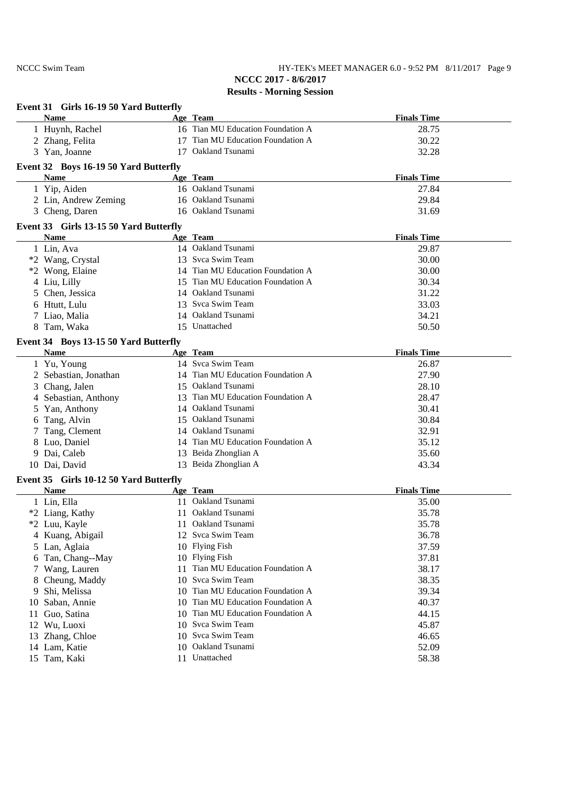# NCCC Swim Team HY-TEK's MEET MANAGER 6.0 - 9:52 PM 8/11/2017 Page 9 **NCCC 2017 - 8/6/2017**

# **Results - Morning Session**

|          | Event 31 Girls 16-19 50 Yard Butterfly                |    |                                   |                    |
|----------|-------------------------------------------------------|----|-----------------------------------|--------------------|
|          | <b>Name</b>                                           |    | Age Team                          | <b>Finals Time</b> |
|          | 1 Huynh, Rachel                                       |    | 16 Tian MU Education Foundation A | 28.75              |
|          | 2 Zhang, Felita                                       |    | 17 Tian MU Education Foundation A | 30.22              |
|          | 3 Yan, Joanne                                         |    | 17 Oakland Tsunami                | 32.28              |
|          | Event 32 Boys 16-19 50 Yard Butterfly                 |    |                                   |                    |
|          | <b>Name</b>                                           |    | Age Team                          | <b>Finals Time</b> |
|          | 1 Yip, Aiden                                          |    | 16 Oakland Tsunami                | 27.84              |
|          | 2 Lin, Andrew Zeming                                  |    | 16 Oakland Tsunami                | 29.84              |
|          | 3 Cheng, Daren                                        |    | 16 Oakland Tsunami                | 31.69              |
|          | Event 33 Girls 13-15 50 Yard Butterfly                |    |                                   |                    |
|          | <b>Name</b>                                           |    | Age Team                          | <b>Finals Time</b> |
|          | 1 Lin, Ava                                            |    | 14 Oakland Tsunami                | 29.87              |
|          | *2 Wang, Crystal                                      |    | 13 Syca Swim Team                 | 30.00              |
|          | *2 Wong, Elaine                                       |    | 14 Tian MU Education Foundation A | 30.00              |
|          | 4 Liu, Lilly                                          |    | 15 Tian MU Education Foundation A | 30.34              |
| 5.       | Chen, Jessica                                         |    | 14 Oakland Tsunami                | 31.22              |
|          | 6 Htutt, Lulu                                         |    | 13 Svca Swim Team                 | 33.03              |
|          | 7 Liao, Malia                                         |    | 14 Oakland Tsunami                | 34.21              |
|          | 8 Tam, Waka                                           |    | 15 Unattached                     | 50.50              |
|          |                                                       |    |                                   |                    |
|          | Event 34 Boys 13-15 50 Yard Butterfly<br><b>Name</b>  |    | Age Team                          | <b>Finals Time</b> |
|          | 1 Yu, Young                                           |    | 14 Svca Swim Team                 | 26.87              |
|          | 2 Sebastian, Jonathan                                 |    | 14 Tian MU Education Foundation A | 27.90              |
| 3        | Chang, Jalen                                          |    | 15 Oakland Tsunami                | 28.10              |
| 4        | Sebastian, Anthony                                    | 13 | Tian MU Education Foundation A    | 28.47              |
| 5        | Yan, Anthony                                          |    | 14 Oakland Tsunami                | 30.41              |
| 6        | Tang, Alvin                                           | 15 | Oakland Tsunami                   | 30.84              |
|          | Tang, Clement                                         |    | 14 Oakland Tsunami                | 32.91              |
|          | 8 Luo, Daniel                                         |    | 14 Tian MU Education Foundation A | 35.12              |
|          | 9 Dai, Caleb                                          |    | 13 Beida Zhonglian A              | 35.60              |
|          | 10 Dai, David                                         |    | 13 Beida Zhonglian A              | 43.34              |
|          |                                                       |    |                                   |                    |
|          | Event 35 Girls 10-12 50 Yard Butterfly<br><b>Name</b> |    | Age Team                          | <b>Finals Time</b> |
|          | 1 Lin, Ella                                           |    | 11 Oakland Tsunami                | 35.00              |
|          | *2 Liang, Kathy                                       |    | 11 Oakland Tsunami                | 35.78              |
|          | *2 Luu, Kayle                                         |    | 11 Oakland Tsunami                | 35.78              |
|          | 4 Kuang, Abigail                                      |    | 12 Svca Swim Team                 | 36.78              |
|          | 5 Lan, Aglaia                                         |    | 10 Flying Fish                    | 37.59              |
|          | 6 Tan, Chang--May                                     |    | 10 Flying Fish                    | 37.81              |
|          | 7 Wang, Lauren                                        |    | 11 Tian MU Education Foundation A | 38.17              |
| 8        | Cheung, Maddy                                         |    | 10 Svca Swim Team                 | 38.35              |
| 9        | Shi, Melissa                                          |    | 10 Tian MU Education Foundation A | 39.34              |
|          | Saban, Annie                                          |    | 10 Tian MU Education Foundation A | 40.37              |
| 10<br>11 | Guo, Satina                                           |    | 10 Tian MU Education Foundation A | 44.15              |
|          | 12 Wu, Luoxi                                          |    | 10 Svca Swim Team                 | 45.87              |
|          | 13 Zhang, Chloe                                       |    | 10 Syca Swim Team                 | 46.65              |
|          | 14 Lam, Katie                                         |    | 10 Oakland Tsunami                | 52.09              |
|          | 15 Tam, Kaki                                          |    | 11 Unattached                     | 58.38              |
|          |                                                       |    |                                   |                    |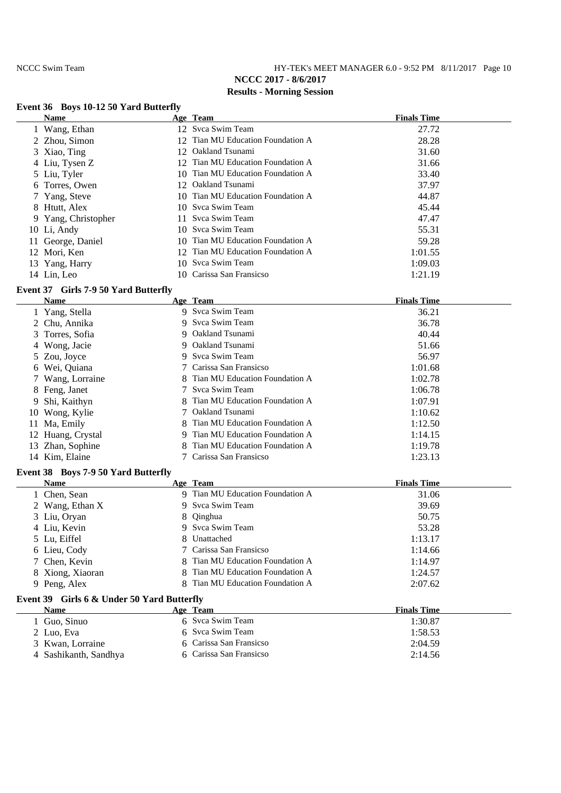## NCCC Swim Team HY-TEK's MEET MANAGER 6.0 - 9:52 PM 8/11/2017 Page 10 **NCCC 2017 - 8/6/2017 Results - Morning Session**

## **Event 36 Boys 10-12 50 Yard Butterfly**

| <b>Name</b>         |     | Age Team                          | <b>Finals Time</b> |
|---------------------|-----|-----------------------------------|--------------------|
| 1 Wang, Ethan       |     | 12 Svca Swim Team                 | 27.72              |
| 2 Zhou, Simon       |     | 12 Tian MU Education Foundation A | 28.28              |
| 3 Xiao, Ting        | 12. | Oakland Tsunami                   | 31.60              |
| 4 Liu, Tysen Z      |     | 12 Tian MU Education Foundation A | 31.66              |
| 5 Liu, Tyler        |     | 10 Tian MU Education Foundation A | 33.40              |
| 6 Torres, Owen      |     | 12 Oakland Tsunami                | 37.97              |
| 7 Yang, Steve       |     | 10 Tian MU Education Foundation A | 44.87              |
| 8 Htutt, Alex       |     | 10 Syca Swim Team                 | 45.44              |
| 9 Yang, Christopher |     | 11 Svca Swim Team                 | 47.47              |
| 10 Li, Andy         |     | 10 Svca Swim Team                 | 55.31              |
| 11 George, Daniel   |     | 10 Tian MU Education Foundation A | 59.28              |
| 12 Mori, Ken        |     | 12 Tian MU Education Foundation A | 1:01.55            |
| 13 Yang, Harry      |     | 10 Svca Swim Team                 | 1:09.03            |
| 14 Lin, Leo         |     | 10 Carissa San Fransicso          | 1:21.19            |

# **Event 37 Girls 7-9 50 Yard Butterfly**

| <b>Name</b>       | Age Team                         | <b>Finals Time</b> |
|-------------------|----------------------------------|--------------------|
| 1 Yang, Stella    | 9 Svca Swim Team                 | 36.21              |
| 2 Chu, Annika     | 9 Syca Swim Team                 | 36.78              |
| 3 Torres, Sofia   | 9 Oakland Tsunami                | 40.44              |
| 4 Wong, Jacie     | 9 Oakland Tsunami                | 51.66              |
| 5 Zou, Joyce      | 9 Svca Swim Team                 | 56.97              |
| 6 Wei, Quiana     | 7 Carissa San Fransicso          | 1:01.68            |
| 7 Wang, Lorraine  | 8 Tian MU Education Foundation A | 1:02.78            |
| 8 Feng, Janet     | 7 Syca Swim Team                 | 1:06.78            |
| 9 Shi, Kaithyn    | 8 Tian MU Education Foundation A | 1:07.91            |
| 10 Wong, Kylie    | 7 Oakland Tsunami                | 1:10.62            |
| 11 Ma, Emily      | 8 Tian MU Education Foundation A | 1:12.50            |
| 12 Huang, Crystal | 9 Tian MU Education Foundation A | 1:14.15            |
| 13 Zhan, Sophine  | 8 Tian MU Education Foundation A | 1:19.78            |
| 14 Kim, Elaine    | 7 Carissa San Fransicso          | 1:23.13            |

## **Event 38 Boys 7-9 50 Yard Butterfly**

| <b>Name</b>                                | Age Team                         | <b>Finals Time</b> |
|--------------------------------------------|----------------------------------|--------------------|
| 1 Chen, Sean                               | 9 Tian MU Education Foundation A | 31.06              |
| 2 Wang, Ethan X                            | 9 Svca Swim Team                 | 39.69              |
| 3 Liu, Oryan                               | 8 Qinghua                        | 50.75              |
| 4 Liu, Kevin                               | 9 Svca Swim Team                 | 53.28              |
| 5 Lu, Eiffel                               | 8 Unattached                     | 1:13.17            |
| 6 Lieu, Cody                               | 7 Carissa San Fransicso          | 1:14.66            |
| 7 Chen, Kevin                              | 8 Tian MU Education Foundation A | 1:14.97            |
| 8 Xiong, Xiaoran                           | 8 Tian MU Education Foundation A | 1:24.57            |
| 9 Peng, Alex                               | 8 Tian MU Education Foundation A | 2:07.62            |
| Event 39 Girls 6 & Under 50 Yard Butterfly |                                  |                    |
| <b>Name</b>                                | Age Team                         | <b>Finals Time</b> |
| Guo, Sinuo                                 | 6 Syca Swim Team                 | 1:30.87            |

| 1 Guo, Sinuo          | 6 Syca Swim Team        | 1:30.87 |
|-----------------------|-------------------------|---------|
| 2 Luo, Eva            | 6 Syca Swim Team        | 1:58.53 |
| 3 Kwan, Lorraine      | 6 Carissa San Fransicso | 2:04.59 |
| 4 Sashikanth, Sandhya | 6 Carissa San Fransicso | 2:14.56 |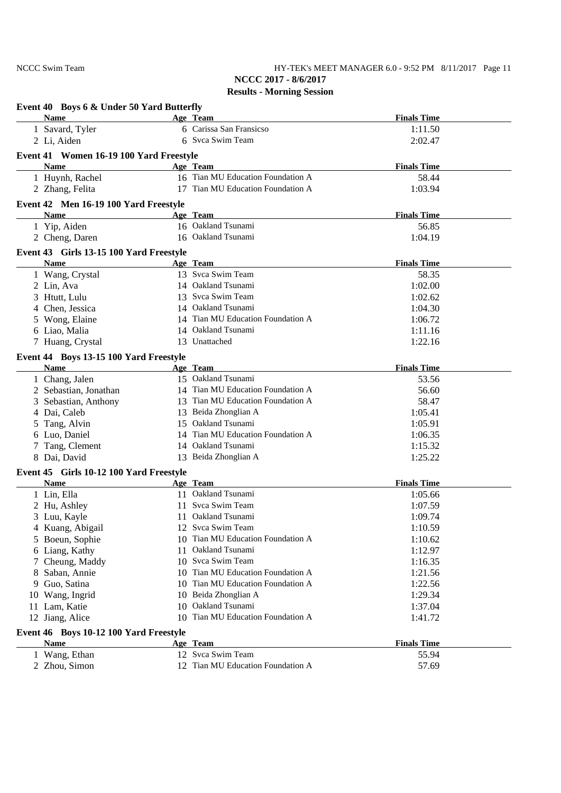NCCC Swim Team HY-TEK's MEET MANAGER 6.0 - 9:52 PM 8/11/2017 Page 11 **NCCC 2017 - 8/6/2017**

**Results - Morning Session**

| Event 40 Boys 6 & Under 50 Yard Butterfly              |                                   |                    |
|--------------------------------------------------------|-----------------------------------|--------------------|
| <b>Name</b>                                            | Age Team                          | <b>Finals Time</b> |
| 1 Savard, Tyler                                        | 6 Carissa San Fransicso           | 1:11.50            |
| 2 Li, Aiden                                            | 6 Svca Swim Team                  | 2:02.47            |
| Event 41 Women 16-19 100 Yard Freestyle                |                                   |                    |
| <b>Name</b>                                            | Age Team                          | <b>Finals Time</b> |
| 1 Huynh, Rachel                                        | 16 Tian MU Education Foundation A | 58.44              |
| 2 Zhang, Felita                                        | 17 Tian MU Education Foundation A | 1:03.94            |
|                                                        |                                   |                    |
| Event 42 Men 16-19 100 Yard Freestyle<br><b>Name</b>   | Age Team                          | <b>Finals Time</b> |
| 1 Yip, Aiden                                           | 16 Oakland Tsunami                | 56.85              |
| 2 Cheng, Daren                                         | 16 Oakland Tsunami                | 1:04.19            |
|                                                        |                                   |                    |
| Event 43 Girls 13-15 100 Yard Freestyle<br><b>Name</b> |                                   |                    |
|                                                        | Age Team<br>13 Svca Swim Team     | <b>Finals Time</b> |
| 1 Wang, Crystal                                        | 14 Oakland Tsunami                | 58.35              |
| 2 Lin, Ava                                             | Svca Swim Team                    | 1:02.00            |
| 3 Htutt, Lulu<br>13                                    | 14 Oakland Tsunami                | 1:02.62            |
| 4 Chen, Jessica                                        | Tian MU Education Foundation A    | 1:04.30            |
| 5 Wong, Elaine<br>14<br>14                             | Oakland Tsunami                   | 1:06.72            |
| 6 Liao, Malia                                          | 13 Unattached                     | 1:11.16<br>1:22.16 |
| 7 Huang, Crystal                                       |                                   |                    |
| Event 44 Boys 13-15 100 Yard Freestyle                 |                                   |                    |
| <b>Name</b>                                            | Age Team                          | <b>Finals Time</b> |
| 1 Chang, Jalen                                         | 15 Oakland Tsunami                | 53.56              |
| 2 Sebastian, Jonathan                                  | 14 Tian MU Education Foundation A | 56.60              |
| 3 Sebastian, Anthony                                   | 13 Tian MU Education Foundation A | 58.47              |
| 4 Dai, Caleb                                           | 13 Beida Zhonglian A              | 1:05.41            |
| 5 Tang, Alvin                                          | 15 Oakland Tsunami                | 1:05.91            |
| 6 Luo, Daniel                                          | 14 Tian MU Education Foundation A | 1:06.35            |
| 7 Tang, Clement                                        | 14 Oakland Tsunami                | 1:15.32            |
| 8 Dai, David                                           | 13 Beida Zhonglian A              | 1:25.22            |
| Event 45 Girls 10-12 100 Yard Freestyle                |                                   |                    |
| <b>Name</b>                                            | Age Team                          | <b>Finals Time</b> |
| 1 Lin, Ella                                            | 11 Oakland Tsunami                | 1:05.66            |
| 2 Hu, Ashley<br>11                                     | Svca Swim Team                    | 1:07.59            |
| 3 Luu, Kayle                                           | 11 Oakland Tsunami                | 1:09.74            |
| 4 Kuang, Abigail                                       | 12 Svca Swim Team                 | 1:10.59            |
| 5 Boeun, Sophie<br>10                                  | Tian MU Education Foundation A    | 1:10.62            |
| 6 Liang, Kathy<br>11                                   | Oakland Tsunami                   | 1:12.97            |
| 7 Cheung, Maddy                                        | 10 Svca Swim Team                 | 1:16.35            |
| 8 Saban, Annie<br>10                                   | Tian MU Education Foundation A    | 1:21.56            |
| 9 Guo, Satina<br>10                                    | Tian MU Education Foundation A    | 1:22.56            |
| 10 Wang, Ingrid<br>10                                  | Beida Zhonglian A                 | 1:29.34            |
| 11 Lam, Katie<br>10                                    | Oakland Tsunami                   | 1:37.04            |
| 12 Jiang, Alice                                        | 10 Tian MU Education Foundation A | 1:41.72            |
| Event 46 Boys 10-12 100 Yard Freestyle                 |                                   |                    |
| <b>Name</b>                                            | Age Team                          | <b>Finals Time</b> |
| 1 Wang, Ethan                                          | 12 Svca Swim Team                 | 55.94              |
| 2 Zhou, Simon                                          | 12 Tian MU Education Foundation A | 57.69              |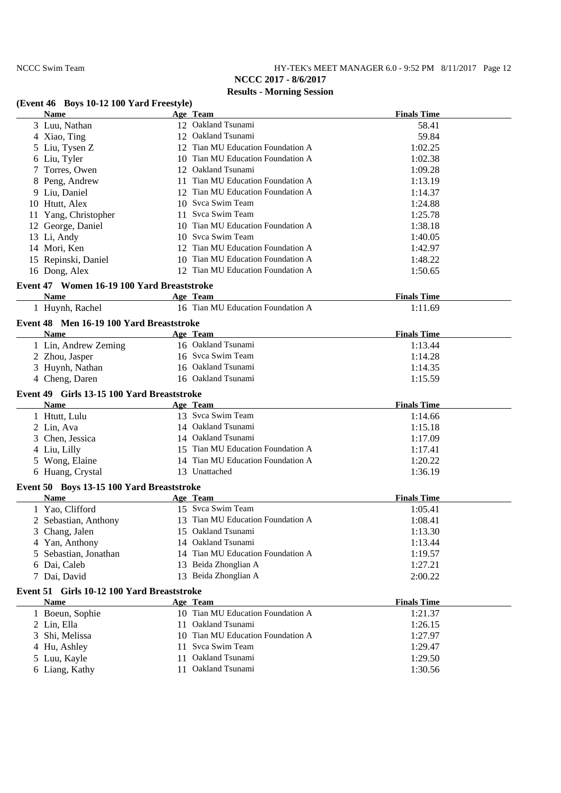## NCCC Swim Team HY-TEK's MEET MANAGER 6.0 - 9:52 PM 8/11/2017 Page 12 **NCCC 2017 - 8/6/2017**

## **Results - Morning Session**

# **(Event 46 Boys 10-12 100 Yard Freestyle)**

| <b>Name</b>                                |    | Age Team                          | <b>Finals Time</b> |
|--------------------------------------------|----|-----------------------------------|--------------------|
| 3 Luu, Nathan                              |    | 12 Oakland Tsunami                | 58.41              |
| 4 Xiao, Ting                               |    | 12 Oakland Tsunami                | 59.84              |
| 5 Liu, Tysen Z                             |    | 12 Tian MU Education Foundation A | 1:02.25            |
| 6 Liu, Tyler                               |    | 10 Tian MU Education Foundation A | 1:02.38            |
| 7 Torres, Owen                             |    | 12 Oakland Tsunami                | 1:09.28            |
| 8 Peng, Andrew                             | 11 | Tian MU Education Foundation A    | 1:13.19            |
| 9 Liu, Daniel                              |    | 12 Tian MU Education Foundation A | 1:14.37            |
| 10 Htutt, Alex                             |    | 10 Svca Swim Team                 | 1:24.88            |
| 11 Yang, Christopher                       |    | 11 Svca Swim Team                 | 1:25.78            |
| 12 George, Daniel                          |    | 10 Tian MU Education Foundation A | 1:38.18            |
| 13 Li, Andy                                |    | 10 Svca Swim Team                 | 1:40.05            |
| 14 Mori, Ken                               |    | 12 Tian MU Education Foundation A | 1:42.97            |
| 15 Repinski, Daniel                        |    | 10 Tian MU Education Foundation A | 1:48.22            |
| 16 Dong, Alex                              |    | 12 Tian MU Education Foundation A | 1:50.65            |
| Event 47 Women 16-19 100 Yard Breaststroke |    |                                   |                    |
| <b>Name</b>                                |    | Age Team                          | <b>Finals Time</b> |
| 1 Huynh, Rachel                            |    | 16 Tian MU Education Foundation A | 1:11.69            |
|                                            |    |                                   |                    |
| Event 48 Men 16-19 100 Yard Breaststroke   |    |                                   |                    |
| <b>Name</b>                                |    | Age Team                          | <b>Finals Time</b> |
| 1 Lin, Andrew Zeming                       |    | 16 Oakland Tsunami                | 1:13.44            |
| 2 Zhou, Jasper                             |    | 16 Svca Swim Team                 | 1:14.28            |
| 3 Huynh, Nathan                            |    | 16 Oakland Tsunami                | 1:14.35            |
| 4 Cheng, Daren                             |    | 16 Oakland Tsunami                | 1:15.59            |
| Event 49 Girls 13-15 100 Yard Breaststroke |    |                                   |                    |
| <b>Name</b>                                |    | Age Team                          | <b>Finals Time</b> |
| 1 Htutt, Lulu                              |    | 13 Svca Swim Team                 | 1:14.66            |
| 2 Lin, Ava                                 |    | 14 Oakland Tsunami                | 1:15.18            |
| 3 Chen, Jessica                            |    | 14 Oakland Tsunami                | 1:17.09            |
| 4 Liu, Lilly                               |    | 15 Tian MU Education Foundation A | 1:17.41            |
| 5 Wong, Elaine                             |    | 14 Tian MU Education Foundation A | 1:20.22            |
| 6 Huang, Crystal                           |    | 13 Unattached                     | 1:36.19            |
| Event 50 Boys 13-15 100 Yard Breaststroke  |    |                                   |                    |
| <b>Name</b>                                |    | Age Team                          | <b>Finals Time</b> |
| 1 Yao, Clifford                            |    | 15 Svca Swim Team                 | 1:05.41            |
| 2 Sebastian, Anthony                       |    | 13 Tian MU Education Foundation A | 1:08.41            |
| 3 Chang, Jalen                             |    | 15 Oakland Tsunami                | 1:13.30            |
| 4 Yan, Anthony                             |    | 14 Oakland Tsunami                | 1:13.44            |
| 5 Sebastian, Jonathan                      |    | 14 Tian MU Education Foundation A | 1:19.57            |
| 6 Dai, Caleb                               |    | 13 Beida Zhonglian A              | 1:27.21            |
| 7 Dai, David                               |    | 13 Beida Zhonglian A              | 2:00.22            |
| Event 51 Girls 10-12 100 Yard Breaststroke |    |                                   |                    |
| <b>Name</b>                                |    | Age Team                          | <b>Finals Time</b> |
| 1 Boeun, Sophie                            |    | 10 Tian MU Education Foundation A | 1:21.37            |
| 2 Lin, Ella                                | 11 | Oakland Tsunami                   | 1:26.15            |
| 3 Shi, Melissa                             |    | 10 Tian MU Education Foundation A | 1:27.97            |
| 4 Hu, Ashley                               |    | 11 Svca Swim Team                 | 1:29.47            |
| 5 Luu, Kayle                               |    | 11 Oakland Tsunami                | 1:29.50            |
| 6 Liang, Kathy                             |    | 11 Oakland Tsunami                | 1:30.56            |
|                                            |    |                                   |                    |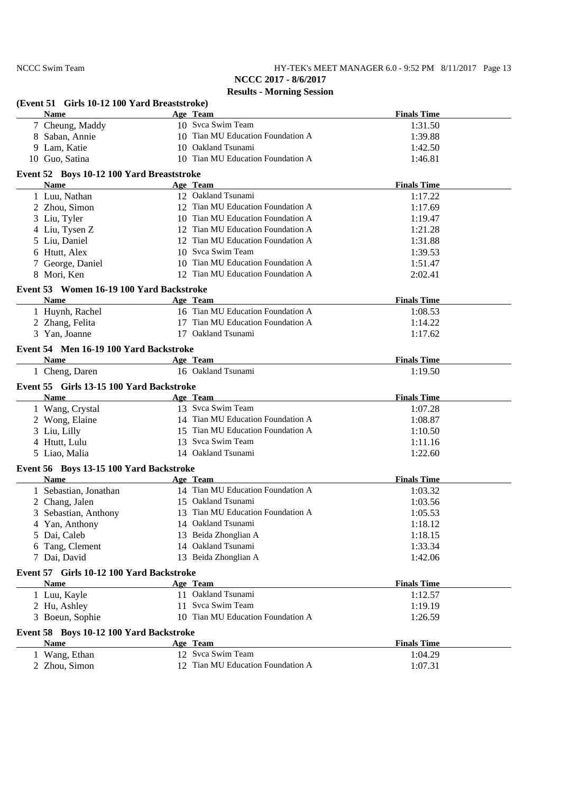# **NCCC 2017 - 8/6/2017 Results - Morning Session**

| (Event 51 Girls 10-12 100 Yard Breaststroke) | Results - Morning Session         |                    |
|----------------------------------------------|-----------------------------------|--------------------|
| <b>Name</b>                                  | Age Team                          | <b>Finals Time</b> |
| 7 Cheung, Maddy                              | 10 Svca Swim Team                 | 1:31.50            |
| 8 Saban, Annie                               | 10 Tian MU Education Foundation A | 1:39.88            |
| 9 Lam, Katie                                 | 10 Oakland Tsunami                | 1:42.50            |
| 10 Guo, Satina                               | 10 Tian MU Education Foundation A | 1:46.81            |
| Event 52 Boys 10-12 100 Yard Breaststroke    |                                   |                    |
| <b>Name</b>                                  | Age Team                          | <b>Finals Time</b> |
| 1 Luu, Nathan                                | 12 Oakland Tsunami                | 1:17.22            |
| 2 Zhou, Simon                                | 12 Tian MU Education Foundation A | 1:17.69            |
| 3 Liu, Tyler                                 | 10 Tian MU Education Foundation A | 1:19.47            |
| 4 Liu, Tysen Z                               | 12 Tian MU Education Foundation A | 1:21.28            |
| 5 Liu, Daniel                                | 12 Tian MU Education Foundation A | 1:31.88            |
| 6 Htutt, Alex                                | 10 Svca Swim Team                 | 1:39.53            |
| 7 George, Daniel                             | 10 Tian MU Education Foundation A | 1:51.47            |
| 8 Mori, Ken                                  | 12 Tian MU Education Foundation A | 2:02.41            |
| Event 53 Women 16-19 100 Yard Backstroke     |                                   |                    |
| <b>Name</b>                                  | Age Team                          | <b>Finals Time</b> |
| 1 Huynh, Rachel                              | 16 Tian MU Education Foundation A | 1:08.53            |
| 2 Zhang, Felita                              | 17 Tian MU Education Foundation A | 1:14.22            |
| 3 Yan, Joanne                                | 17 Oakland Tsunami                | 1:17.62            |
|                                              |                                   |                    |
| Event 54 Men 16-19 100 Yard Backstroke       |                                   |                    |
| <b>Name</b>                                  | Age Team                          | <b>Finals Time</b> |
| 1 Cheng, Daren                               | 16 Oakland Tsunami                | 1:19.50            |
| Event 55 Girls 13-15 100 Yard Backstroke     |                                   |                    |
| <b>Name</b>                                  | Age Team                          | <b>Finals Time</b> |
| 1 Wang, Crystal                              | 13 Svca Swim Team                 | 1:07.28            |
| 2 Wong, Elaine                               | 14 Tian MU Education Foundation A | 1:08.87            |
| 3 Liu, Lilly                                 | 15 Tian MU Education Foundation A | 1:10.50            |
| 4 Htutt, Lulu                                | 13 Svca Swim Team                 | 1:11.16            |
| 5 Liao, Malia                                | 14 Oakland Tsunami                | 1:22.60            |
| Event 56 Boys 13-15 100 Yard Backstroke      |                                   |                    |
| <b>Name</b>                                  | Age Team                          | <b>Finals Time</b> |
| 1 Sebastian, Jonathan                        | 14 Tian MU Education Foundation A | 1:03.32            |
| 2 Chang, Jalen                               | 15 Oakland Tsunami                | 1:03.56            |
| 3 Sebastian, Anthony                         | 13 Tian MU Education Foundation A | 1:05.53            |
| 4 Yan, Anthony                               | 14 Oakland Tsunami                | 1:18.12            |
| 5 Dai, Caleb                                 | 13 Beida Zhonglian A              | 1:18.15            |
| 6 Tang, Clement                              | 14 Oakland Tsunami                | 1:33.34            |
| 7 Dai, David                                 | 13 Beida Zhonglian A              | 1:42.06            |
| Event 57 Girls 10-12 100 Yard Backstroke     |                                   |                    |
| <b>Name</b>                                  | Age Team                          | <b>Finals Time</b> |
| 1 Luu, Kayle                                 | 11 Oakland Tsunami                | 1:12.57            |
| 2 Hu, Ashley                                 | 11 Svca Swim Team                 | 1:19.19            |
| 3 Boeun, Sophie                              | 10 Tian MU Education Foundation A | 1:26.59            |
|                                              |                                   |                    |
| Event 58 Boys 10-12 100 Yard Backstroke      |                                   |                    |
| <b>Name</b>                                  | Age Team                          | <b>Finals Time</b> |
| 1 Wang, Ethan                                | 12 Svca Swim Team                 | 1:04.29            |
| 2 Zhou, Simon                                | 12 Tian MU Education Foundation A | 1:07.31            |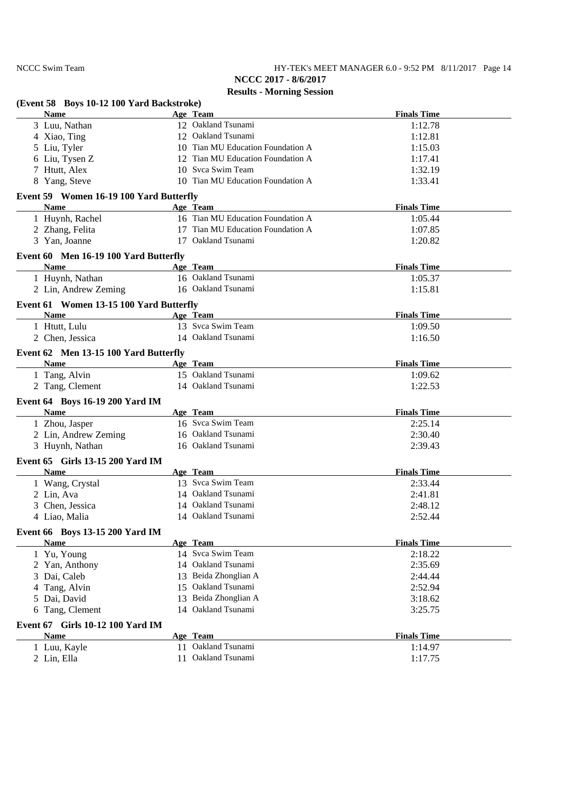# **NCCC 2017 - 8/6/2017 Results - Morning Session**

| (Event 58 Boys 10-12 100 Yard Backstroke)<br><b>Name</b> | Age Team                          | <b>Finals Time</b> |
|----------------------------------------------------------|-----------------------------------|--------------------|
| 3 Luu, Nathan                                            | 12 Oakland Tsunami                | 1:12.78            |
| 4 Xiao, Ting                                             | 12 Oakland Tsunami                | 1:12.81            |
| 5 Liu, Tyler                                             | 10 Tian MU Education Foundation A | 1:15.03            |
| 6 Liu, Tysen Z                                           | 12 Tian MU Education Foundation A | 1:17.41            |
| 7 Htutt, Alex                                            | 10 Syca Swim Team                 | 1:32.19            |
| 8 Yang, Steve                                            | 10 Tian MU Education Foundation A | 1:33.41            |
| Event 59 Women 16-19 100 Yard Butterfly                  |                                   |                    |
| <b>Name</b>                                              | Age Team                          | <b>Finals Time</b> |
| 1 Huynh, Rachel                                          | 16 Tian MU Education Foundation A | 1:05.44            |
| 2 Zhang, Felita                                          | 17 Tian MU Education Foundation A | 1:07.85            |
| 3 Yan, Joanne                                            | 17 Oakland Tsunami                | 1:20.82            |
| Event 60 Men 16-19 100 Yard Butterfly                    |                                   |                    |
| <b>Name</b>                                              | Age Team                          | <b>Finals Time</b> |
| 1 Huynh, Nathan                                          | 16 Oakland Tsunami                | 1:05.37            |
| 2 Lin, Andrew Zeming                                     | 16 Oakland Tsunami                | 1:15.81            |
| Event 61 Women 13-15 100 Yard Butterfly                  |                                   |                    |
| <b>Name</b>                                              | Age Team                          | <b>Finals Time</b> |
| 1 Htutt, Lulu                                            | 13 Svca Swim Team                 | 1:09.50            |
| 2 Chen, Jessica                                          | 14 Oakland Tsunami                | 1:16.50            |
| Event 62 Men 13-15 100 Yard Butterfly                    |                                   |                    |
| <b>Name</b>                                              | Age Team                          | <b>Finals Time</b> |
| 1 Tang, Alvin                                            | 15 Oakland Tsunami                | 1:09.62            |
| 2 Tang, Clement                                          | 14 Oakland Tsunami                | 1:22.53            |
| Event 64 Boys 16-19 200 Yard IM                          |                                   |                    |
| <b>Name</b>                                              | Age Team                          | <b>Finals Time</b> |
| 1 Zhou, Jasper                                           | 16 Svca Swim Team                 | 2:25.14            |
| 2 Lin, Andrew Zeming                                     | 16 Oakland Tsunami                | 2:30.40            |
| 3 Huynh, Nathan                                          | 16 Oakland Tsunami                | 2:39.43            |
| Event 65 Girls 13-15 200 Yard IM                         |                                   |                    |
| <b>Name</b>                                              | Age Team                          | <b>Finals Time</b> |
| 1 Wang, Crystal                                          | 13 Svca Swim Team                 | 2:33.44            |
| 2 Lin, Ava                                               | 14 Oakland Tsunami                | 2:41.81            |
| Chen, Jessica<br>3                                       | 14 Oakland Tsunami                | 2:48.12            |
| 4 Liao, Malia                                            | 14 Oakland Tsunami                | 2:52.44            |
| Event 66 Boys 13-15 200 Yard IM                          |                                   |                    |
| <b>Name</b>                                              | Age Team                          | <b>Finals Time</b> |
| 1 Yu, Young                                              | 14 Svca Swim Team                 | 2:18.22            |
| 2 Yan, Anthony                                           | 14 Oakland Tsunami                | 2:35.69            |
| 3 Dai, Caleb                                             | 13 Beida Zhonglian A              | 2:44.44            |
| Tang, Alvin<br>4                                         | 15 Oakland Tsunami                | 2:52.94            |
| Dai, David<br>5                                          | 13 Beida Zhonglian A              | 3:18.62            |
| 6 Tang, Clement                                          | 14 Oakland Tsunami                | 3:25.75            |
| Event 67 Girls 10-12 100 Yard IM                         |                                   |                    |
| <b>Name</b>                                              | Age Team                          | <b>Finals Time</b> |
| 1 Luu, Kayle                                             | 11 Oakland Tsunami                | 1:14.97            |
| 2 Lin, Ella                                              | Oakland Tsunami<br>11             | 1:17.75            |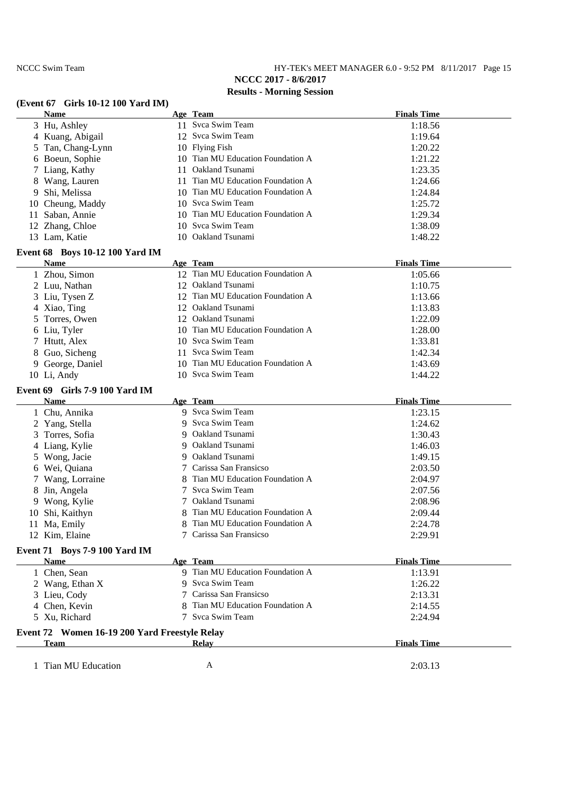## NCCC Swim Team HY-TEK's MEET MANAGER 6.0 - 9:52 PM 8/11/2017 Page 15 **NCCC 2017 - 8/6/2017 Results - Morning Session**

### **(Event 67 Girls 10-12 100 Yard IM)**

| <b>Name</b>                            |     | Age Team                          | <b>Finals Time</b> |
|----------------------------------------|-----|-----------------------------------|--------------------|
| 3 Hu, Ashley                           |     | 11 Syca Swim Team                 | 1:18.56            |
| 4 Kuang, Abigail                       |     | 12 Svca Swim Team                 | 1:19.64            |
| 5 Tan, Chang-Lynn                      |     | 10 Flying Fish                    | 1:20.22            |
| 6 Boeun, Sophie                        |     | 10 Tian MU Education Foundation A | 1:21.22            |
| 7 Liang, Kathy                         | 11. | Oakland Tsunami                   | 1:23.35            |
| 8 Wang, Lauren                         |     | 11 Tian MU Education Foundation A | 1:24.66            |
| 9 Shi, Melissa                         |     | 10 Tian MU Education Foundation A | 1:24.84            |
| 10 Cheung, Maddy                       |     | 10 Svca Swim Team                 | 1:25.72            |
| Saban, Annie<br>11                     |     | 10 Tian MU Education Foundation A | 1:29.34            |
| 12 Zhang, Chloe                        |     | 10 Svca Swim Team                 | 1:38.09            |
| 13 Lam, Katie                          |     | 10 Oakland Tsunami                | 1:48.22            |
| <b>Event 68 Boys 10-12 100 Yard IM</b> |     |                                   |                    |

| <b>Name</b>      | Age Team                          | <b>Finals Time</b> |  |
|------------------|-----------------------------------|--------------------|--|
| 1 Zhou, Simon    | 12 Tian MU Education Foundation A | 1:05.66            |  |
| 2 Luu, Nathan    | 12 Oakland Tsunami                | 1:10.75            |  |
| 3 Liu, Tysen Z   | 12 Tian MU Education Foundation A | 1:13.66            |  |
| 4 Xiao, Ting     | 12 Oakland Tsunami                | 1:13.83            |  |
| 5 Torres, Owen   | 12 Oakland Tsunami                | 1:22.09            |  |
| 6 Liu, Tyler     | 10 Tian MU Education Foundation A | 1:28.00            |  |
| 7 Htutt, Alex    | 10 Svca Swim Team                 | 1:33.81            |  |
| 8 Guo, Sicheng   | 11 Syca Swim Team                 | 1:42.34            |  |
| 9 George, Daniel | 10 Tian MU Education Foundation A | 1:43.69            |  |
| 10 Li, Andy      | 10 Svca Swim Team                 | 1:44.22            |  |

# **Event 69 Girls 7-9 100 Yard IM**

| <b>Name</b>                          | Age Team                         | <b>Finals Time</b> |
|--------------------------------------|----------------------------------|--------------------|
| 1 Chu, Annika                        | 9 Svca Swim Team                 | 1:23.15            |
| 2 Yang, Stella                       | 9 Syca Swim Team                 | 1:24.62            |
| 3 Torres, Sofia                      | 9 Oakland Tsunami                | 1:30.43            |
| 4 Liang, Kylie                       | 9 Oakland Tsunami                | 1:46.03            |
| 5 Wong, Jacie                        | 9 Oakland Tsunami                | 1:49.15            |
| 6 Wei, Quiana                        | 7 Carissa San Fransicso          | 2:03.50            |
| 7 Wang, Lorraine                     | 8 Tian MU Education Foundation A | 2:04.97            |
| 8 Jin, Angela                        | Syca Swim Team                   | 2:07.56            |
| 9 Wong, Kylie                        | Oakland Tsunami                  | 2:08.96            |
| 10 Shi, Kaithyn                      | 8 Tian MU Education Foundation A | 2:09.44            |
| 11 Ma, Emily                         | 8 Tian MU Education Foundation A | 2:24.78            |
| 12 Kim, Elaine                       | 7 Carissa San Fransicso          | 2:29.91            |
| <b>Event 71 Boys 7-9 100 Yard IM</b> |                                  |                    |
| <b>Name</b>                          | Age Team                         | <b>Finals Time</b> |

| <b>Name</b>                                   | Age ream                         | <b>Finals</b> Time |  |
|-----------------------------------------------|----------------------------------|--------------------|--|
| 1 Chen, Sean                                  | 9 Tian MU Education Foundation A | 1:13.91            |  |
| 2 Wang, Ethan X                               | 9 Svca Swim Team                 | 1:26.22            |  |
| 3 Lieu, Cody                                  | 7 Carissa San Fransicso          | 2:13.31            |  |
| 4 Chen, Kevin                                 | 8 Tian MU Education Foundation A | 2:14.55            |  |
| 5 Xu, Richard                                 | 7 Svca Swim Team                 | 2:24.94            |  |
| Event 72 Women 16-19 200 Yard Freestyle Relay |                                  |                    |  |
| Team                                          | <b>Relay</b>                     | <b>Finals Time</b> |  |

$$
\overline{\text{12}}
$$

1 Tian MU Education A 2:03.13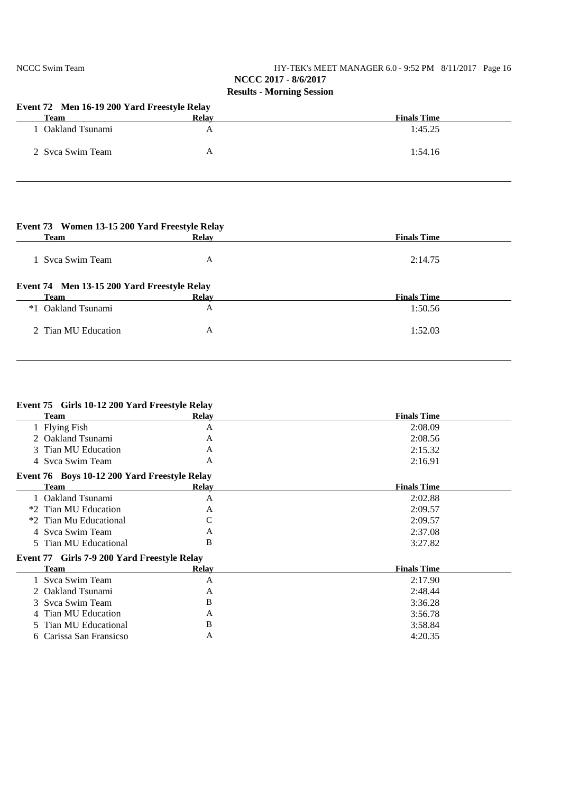## NCCC Swim Team HY-TEK's MEET MANAGER 6.0 - 9:52 PM 8/11/2017 Page 16 **NCCC 2017 - 8/6/2017 Results - Morning Session**

### **Event 72 Men 16-19 200 Yard Freestyle Relay**

| <b>Team</b>      | <b>Relay</b> | <b>Finals Time</b> |
|------------------|--------------|--------------------|
| Oakland Tsunami  | A            | 1:45.25            |
| 2 Svca Swim Team | A            | 1:54.16            |

## **Event 73 Women 13-15 200 Yard Freestyle Relay**

| <b>Team</b>                                 | <b>Relay</b> | <b>Finals Time</b> |
|---------------------------------------------|--------------|--------------------|
| 1 Syca Swim Team                            | A            | 2:14.75            |
| Event 74 Men 13-15 200 Yard Freestyle Relay |              |                    |
|                                             |              |                    |
| <b>Team</b>                                 | <b>Relay</b> | <b>Finals Time</b> |
| *1 Oakland Tsunami                          | А            | 1:50.56            |
| 2 Tian MU Education                         | А            | 1:52.03            |

### **Event 75 Girls 10-12 200 Yard Freestyle Relay**

|      | <b>Team</b>                                  | <b>Relay</b> | <b>Finals Time</b> |
|------|----------------------------------------------|--------------|--------------------|
|      | 1 Flying Fish                                | A            | 2:08.09            |
|      | 2 Oakland Tsunami                            | А            | 2:08.56            |
| 3.   | Tian MU Education                            | A            | 2:15.32            |
|      | 4 Svca Swim Team                             | A            | 2:16.91            |
|      | Event 76 Boys 10-12 200 Yard Freestyle Relay |              |                    |
|      | <b>Team</b>                                  | Relay        | <b>Finals Time</b> |
|      | Oakland Tsunami                              | Α            | 2:02.88            |
|      | *2 Tian MU Education                         | A            | 2:09.57            |
| $*2$ | Tian Mu Educational                          | C            | 2:09.57            |
|      | 4 Svca Swim Team                             | А            | 2:37.08            |
|      | 5 Tian MU Educational                        | B            | 3:27.82            |
|      | Event 77 Girls 7-9 200 Yard Freestyle Relay  |              |                    |
|      | <b>Team</b>                                  | Relay        | <b>Finals Time</b> |
|      | 1 Syca Swim Team                             | А            | 2:17.90            |
|      | 2 Oakland Tsunami                            | A            | 2:48.44            |
|      | 3 Syca Swim Team                             | B            | 3:36.28            |
|      | 4 Tian MU Education                          | A            | 3:56.78            |
|      | 5 Tian MU Educational                        | B            | 3:58.84            |
|      | 6 Carissa San Fransicso                      | A            | 4:20.35            |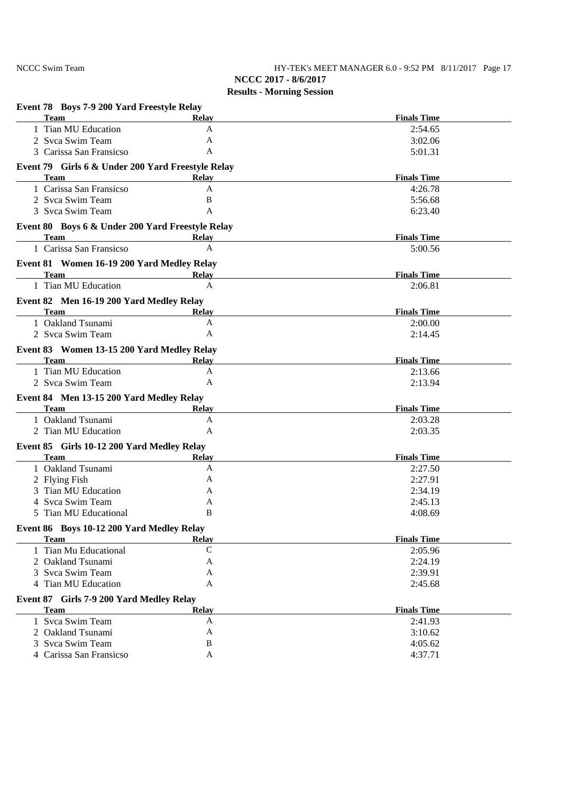# NCCC Swim Team HY-TEK's MEET MANAGER 6.0 - 9:52 PM 8/11/2017 Page 17 **NCCC 2017 - 8/6/2017**

**Results - Morning Session**

| Event 78 Boys 7-9 200 Yard Freestyle Relay<br><b>Team</b>        |                   |                               |
|------------------------------------------------------------------|-------------------|-------------------------------|
| 1 Tian MU Education                                              | Relay<br>A        | <b>Finals Time</b><br>2:54.65 |
| 2 Svca Swim Team                                                 | A                 | 3:02.06                       |
| 3 Carissa San Fransicso                                          | A                 | 5:01.31                       |
|                                                                  |                   |                               |
| Event 79 Girls 6 & Under 200 Yard Freestyle Relay<br><b>Team</b> | Relay             | <b>Finals Time</b>            |
| 1 Carissa San Fransicso                                          | A                 | 4:26.78                       |
| 2 Svca Swim Team                                                 | B                 | 5:56.68                       |
| 3 Syca Swim Team                                                 | A                 | 6:23.40                       |
|                                                                  |                   |                               |
| Event 80 Boys 6 & Under 200 Yard Freestyle Relay<br><b>Team</b>  | <b>Relay</b>      | <b>Finals Time</b>            |
| 1 Carissa San Fransicso                                          | A                 | 5:00.56                       |
|                                                                  |                   |                               |
| Event 81 Women 16-19 200 Yard Medley Relay<br><b>Team</b>        | <b>Relay</b>      | <b>Finals Time</b>            |
| 1 Tian MU Education                                              | A                 | 2:06.81                       |
|                                                                  |                   |                               |
| Event 82 Men 16-19 200 Yard Medley Relay<br><b>Team</b>          | <b>Relay</b>      | <b>Finals Time</b>            |
| 1 Oakland Tsunami                                                | A                 | 2:00.00                       |
| 2 Svca Swim Team                                                 | A                 | 2:14.45                       |
|                                                                  |                   |                               |
| Event 83 Women 13-15 200 Yard Medley Relay<br><b>Team</b>        | Relay             | <b>Finals Time</b>            |
| 1 Tian MU Education                                              | A                 | 2:13.66                       |
| 2 Svca Swim Team                                                 | A                 | 2:13.94                       |
|                                                                  |                   |                               |
| Event 84 Men 13-15 200 Yard Medley Relay                         |                   |                               |
| <b>Team</b><br>1 Oakland Tsunami                                 | <b>Relay</b><br>A | <b>Finals Time</b>            |
| 2 Tian MU Education                                              | A                 | 2:03.28<br>2:03.35            |
|                                                                  |                   |                               |
| Event 85 Girls 10-12 200 Yard Medley Relay                       |                   |                               |
| <b>Team</b><br>1 Oakland Tsunami                                 | Relay<br>A        | <b>Finals Time</b><br>2:27.50 |
| 2 Flying Fish                                                    | A                 | 2:27.91                       |
| 3 Tian MU Education                                              | A                 | 2:34.19                       |
| Svca Swim Team<br>4                                              | A                 | 2:45.13                       |
| 5 Tian MU Educational                                            | B                 | 4:08.69                       |
|                                                                  |                   |                               |
| Event 86 Boys 10-12 200 Yard Medley Relay<br><b>Team</b>         | <b>Relay</b>      | <b>Finals Time</b>            |
| 1 Tian Mu Educational                                            | $\mathsf{C}$      | 2:05.96                       |
| 2 Oakland Tsunami                                                | A                 | 2:24.19                       |
| 3 Syca Swim Team                                                 | A                 | 2:39.91                       |
| 4 Tian MU Education                                              | A                 | 2:45.68                       |
|                                                                  |                   |                               |
| Event 87 Girls 7-9 200 Yard Medley Relay<br><b>Team</b>          | Relay             | <b>Finals Time</b>            |
| 1 Svca Swim Team                                                 | A                 | 2:41.93                       |
| 2 Oakland Tsunami                                                | A                 | 3:10.62                       |
| 3 Svca Swim Team                                                 | B                 | 4:05.62                       |
| 4 Carissa San Fransicso                                          | A                 | 4:37.71                       |
|                                                                  |                   |                               |